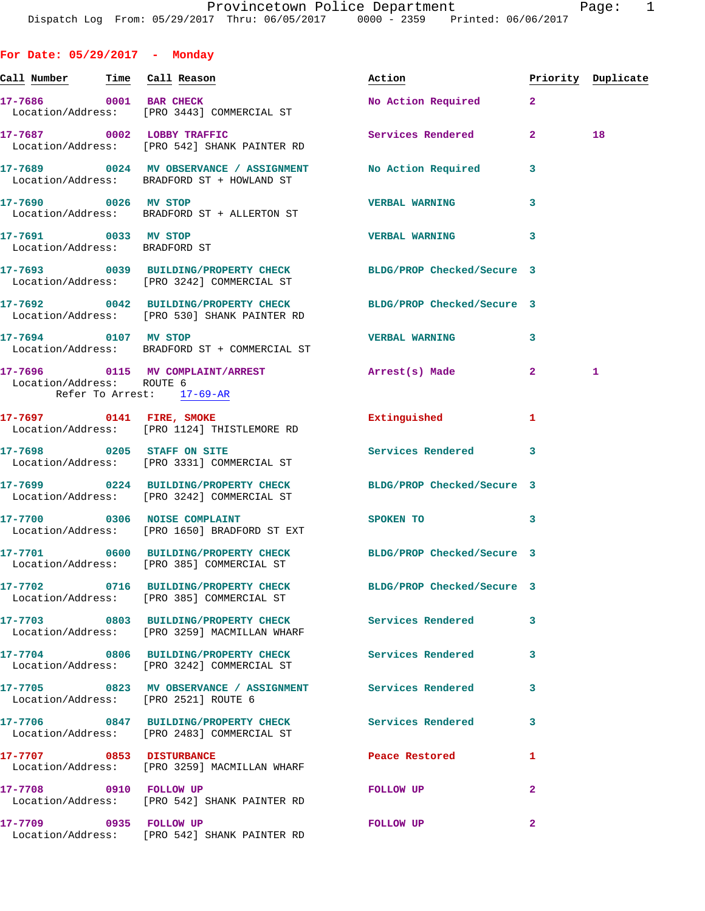**For Date: 05/29/2017 - Monday Call Number Time Call Reason Action Priority Duplicate** 17-7686 0001 BAR CHECK No Action Required 2 Location/Address: [PRO 3443] COMMERCIAL ST 17-7687 0002 LOBBY TRAFFIC Services Rendered 2 18 Location/Address: [PRO 542] SHANK PAINTER RD **17-7689 0024 MV OBSERVANCE / ASSIGNMENT No Action Required 3**  Location/Address: BRADFORD ST + HOWLAND ST **17-7690 0026 MV STOP VERBAL WARNING 3**  Location/Address: BRADFORD ST + ALLERTON ST **17-7691 0033 MV STOP VERBAL WARNING 3**  Location/Address: BRADFORD ST **17-7693 0039 BUILDING/PROPERTY CHECK BLDG/PROP Checked/Secure 3**  Location/Address: [PRO 3242] COMMERCIAL ST **17-7692 0042 BUILDING/PROPERTY CHECK BLDG/PROP Checked/Secure 3**  Location/Address: [PRO 530] SHANK PAINTER RD **17-7694 0107 MV STOP VERBAL WARNING 3**  Location/Address: BRADFORD ST + COMMERCIAL ST **17-7696 0115 MV COMPLAINT/ARREST Arrest(s) Made 2 1**  Location/Address: ROUTE 6 Refer To Arrest: 17-69-AR **17-7697 0141 FIRE, SMOKE Extinguished 1**  Location/Address: [PRO 1124] THISTLEMORE RD **17-7698 0205 STAFF ON SITE Services Rendered 3**  Location/Address: [PRO 3331] COMMERCIAL ST **17-7699 0224 BUILDING/PROPERTY CHECK BLDG/PROP Checked/Secure 3**  Location/Address: [PRO 3242] COMMERCIAL ST **17-7700 0306 NOISE COMPLAINT SPOKEN TO 3**  Location/Address: [PRO 1650] BRADFORD ST EXT **17-7701 0600 BUILDING/PROPERTY CHECK BLDG/PROP Checked/Secure 3**  Location/Address: [PRO 385] COMMERCIAL ST **17-7702 0716 BUILDING/PROPERTY CHECK BLDG/PROP Checked/Secure 3**  Location/Address: [PRO 385] COMMERCIAL ST **17-7703 0803 BUILDING/PROPERTY CHECK Services Rendered 3**  Location/Address: [PRO 3259] MACMILLAN WHARF **17-7704 0806 BUILDING/PROPERTY CHECK Services Rendered 3**  Location/Address: [PRO 3242] COMMERCIAL ST **17-7705 0823 MV OBSERVANCE / ASSIGNMENT Services Rendered 3**  Location/Address: [PRO 2521] ROUTE 6 **17-7706 0847 BUILDING/PROPERTY CHECK Services Rendered 3**  Location/Address: [PRO 2483] COMMERCIAL ST **17-7707 0853 DISTURBANCE Peace Restored 1**  Location/Address: [PRO 3259] MACMILLAN WHARF

**17-7708 0910 FOLLOW UP FOLLOW UP 2**  Location/Address: [PRO 542] SHANK PAINTER RD **17-7709 0935 FOLLOW UP FOLLOW UP 2** 

Location/Address: [PRO 542] SHANK PAINTER RD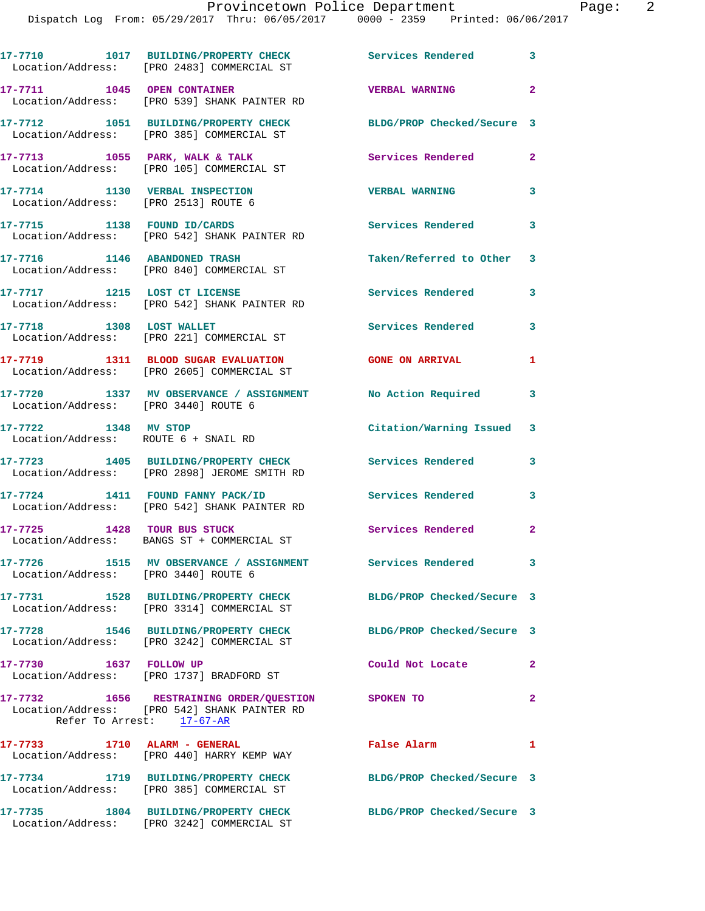|                                      | 17-7710 1017 BUILDING/PROPERTY CHECK<br>Location/Address: [PRO 2483] COMMERCIAL ST                                             | <b>Services Rendered</b>   | 3              |
|--------------------------------------|--------------------------------------------------------------------------------------------------------------------------------|----------------------------|----------------|
| 17-7711 1045 OPEN CONTAINER          | Location/Address: [PRO 539] SHANK PAINTER RD                                                                                   | <b>VERBAL WARNING</b>      | $\overline{a}$ |
|                                      | 17-7712 1051 BUILDING/PROPERTY CHECK<br>Location/Address: [PRO 385] COMMERCIAL ST                                              | BLDG/PROP Checked/Secure 3 |                |
|                                      | 17-7713 1055 PARK, WALK & TALK<br>Location/Address: [PRO 105] COMMERCIAL ST                                                    | Services Rendered          | $\mathbf{2}$   |
| Location/Address: [PRO 2513] ROUTE 6 | 17-7714 1130 VERBAL INSPECTION                                                                                                 | <b>VERBAL WARNING</b>      | 3              |
|                                      | 17-7715 1138 FOUND ID/CARDS<br>Location/Address: [PRO 542] SHANK PAINTER RD                                                    | Services Rendered 3        |                |
|                                      | 17-7716 1146 ABANDONED TRASH<br>Location/Address: [PRO 840] COMMERCIAL ST                                                      | Taken/Referred to Other    | 3              |
| 17-7717 1215 LOST CT LICENSE         | Location/Address: [PRO 542] SHANK PAINTER RD                                                                                   | <b>Services Rendered</b>   | 3              |
|                                      | 17-7718 1308 LOST WALLET<br>Location/Address: [PRO 221] COMMERCIAL ST                                                          | Services Rendered          | 3              |
|                                      | 17-7719 1311 BLOOD SUGAR EVALUATION<br>Location/Address: [PRO 2605] COMMERCIAL ST                                              | <b>GONE ON ARRIVAL</b>     | 1              |
| Location/Address: [PRO 3440] ROUTE 6 | 17-7720 1337 MV OBSERVANCE / ASSIGNMENT No Action Required                                                                     |                            | 3              |
| 17-7722 1348 MV STOP                 | Location/Address: ROUTE 6 + SNAIL RD                                                                                           | Citation/Warning Issued 3  |                |
|                                      | 17-7723 1405 BUILDING/PROPERTY CHECK<br>Location/Address: [PRO 2898] JEROME SMITH RD                                           | <b>Services Rendered</b>   | 3              |
|                                      | 17-7724 1411 FOUND FANNY PACK/ID<br>Location/Address: [PRO 542] SHANK PAINTER RD                                               | Services Rendered          | 3              |
|                                      | 17-7725 1428 TOUR BUS STUCK<br>Location/Address: BANGS ST + COMMERCIAL ST                                                      | Services Rendered          | $\mathbf{2}$   |
| Location/Address: [PRO 3440] ROUTE 6 | 17-7726 1515 MV OBSERVANCE / ASSIGNMENT Services Rendered 3                                                                    |                            |                |
|                                      | 17-7731 1528 BUILDING/PROPERTY CHECK<br>Location/Address: [PRO 3314] COMMERCIAL ST                                             | BLDG/PROP Checked/Secure 3 |                |
|                                      | 17-7728 1546 BUILDING/PROPERTY CHECK<br>Location/Address: [PRO 3242] COMMERCIAL ST                                             | BLDG/PROP Checked/Secure 3 |                |
| 17-7730 1637 FOLLOW UP               | Location/Address: [PRO 1737] BRADFORD ST                                                                                       | Could Not Locate           | 2              |
|                                      | 17-7732 1656 RESTRAINING ORDER/QUESTION SPOKEN TO<br>Location/Address: [PRO 542] SHANK PAINTER RD<br>Refer To Arrest: 17-67-AR |                            | $\overline{2}$ |
|                                      | 17-7733 1710 ALARM - GENERAL<br>Location/Address: [PRO 440] HARRY KEMP WAY                                                     | False Alarm                | 1              |
|                                      | 17-7734 1719 BUILDING/PROPERTY CHECK BLDG/PROP Checked/Secure 3<br>Location/Address: [PRO 385] COMMERCIAL ST                   |                            |                |
|                                      | 17-7735 1804 BUILDING/PROPERTY CHECK<br>Location/Address: [PRO 3242] COMMERCIAL ST                                             | BLDG/PROP Checked/Secure 3 |                |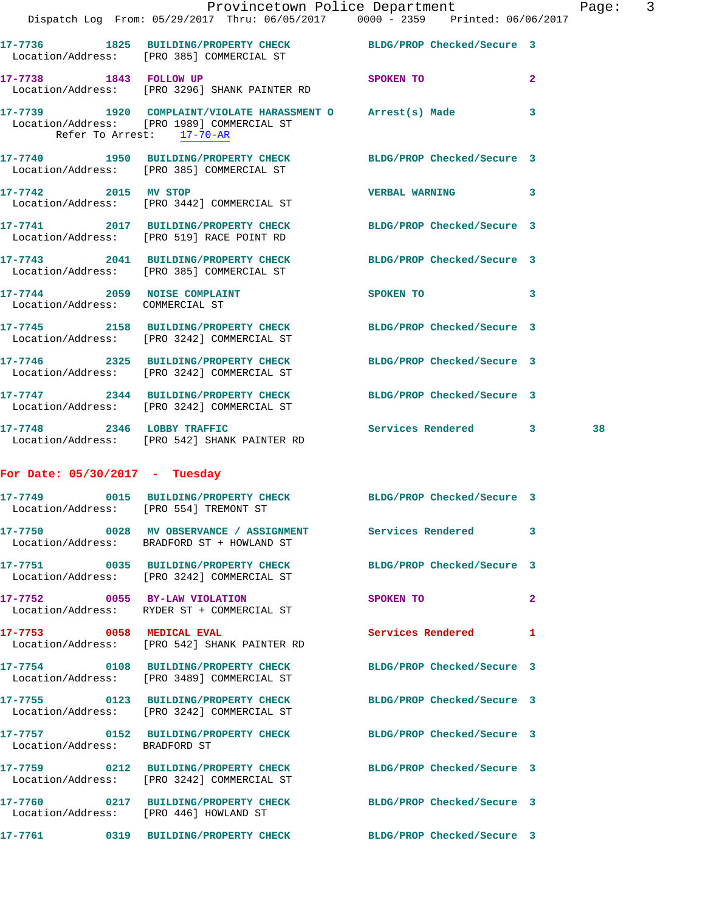|                                  | Provincetown Police Department<br>Dispatch Log From: 05/29/2017 Thru: 06/05/2017 0000 - 2359 Printed: 06/06/2017 |                            |                | Page |
|----------------------------------|------------------------------------------------------------------------------------------------------------------|----------------------------|----------------|------|
|                                  | 17-7736 1825 BUILDING/PROPERTY CHECK BLDG/PROP Checked/Secure 3<br>Location/Address: [PRO 385] COMMERCIAL ST     |                            |                |      |
|                                  | 17-7738 1843 FOLLOW UP<br>Location/Address: [PRO 3296] SHANK PAINTER RD                                          | <b>SPOKEN TO</b>           | $\overline{2}$ |      |
| Refer To Arrest: 17-70-AR        | 17-7739 1920 COMPLAINT/VIOLATE HARASSMENT O Arrest(s) Made<br>Location/Address: [PRO 1989] COMMERCIAL ST         |                            | 3              |      |
|                                  | 17-7740 1950 BUILDING/PROPERTY CHECK BLDG/PROP Checked/Secure 3<br>Location/Address: [PRO 385] COMMERCIAL ST     |                            |                |      |
|                                  | 17-7742 2015 MV STOP<br>Location/Address: [PRO 3442] COMMERCIAL ST                                               | <b>VERBAL WARNING</b>      | 3              |      |
|                                  | 17-7741 2017 BUILDING/PROPERTY CHECK BLDG/PROP Checked/Secure 3<br>Location/Address: [PRO 519] RACE POINT RD     |                            |                |      |
|                                  | 17-7743 2041 BUILDING/PROPERTY CHECK BLDG/PROP Checked/Secure 3<br>Location/Address: [PRO 385] COMMERCIAL ST     |                            |                |      |
| Location/Address: COMMERCIAL ST  | 17-7744 2059 NOISE COMPLAINT                                                                                     | SPOKEN TO 3                |                |      |
|                                  | 17-7745 2158 BUILDING/PROPERTY CHECK BLDG/PROP Checked/Secure 3<br>Location/Address: [PRO 3242] COMMERCIAL ST    |                            |                |      |
|                                  | 17-7746 2325 BUILDING/PROPERTY CHECK BLDG/PROP Checked/Secure 3<br>Location/Address: [PRO 3242] COMMERCIAL ST    |                            |                |      |
|                                  | 17-7747 2344 BUILDING/PROPERTY CHECK BLDG/PROP Checked/Secure 3<br>Location/Address: [PRO 3242] COMMERCIAL ST    |                            |                |      |
|                                  | 17-7748 2346 LOBBY TRAFFIC<br>Location/Address: [PRO 542] SHANK PAINTER RD                                       | Services Rendered 3        |                | 38   |
| For Date: $05/30/2017$ - Tuesday |                                                                                                                  |                            |                |      |
|                                  | 17-7749 0015 BUILDING/PROPERTY CHECK BLDG/PROP Checked/Secure 3<br>Location/Address: [PRO 554] TREMONT ST        |                            |                |      |
|                                  | 17-7750 0028 MV OBSERVANCE / ASSIGNMENT Services Rendered<br>Location/Address: BRADFORD ST + HOWLAND ST          |                            | 3              |      |
|                                  | 17-7751 0035 BUILDING/PROPERTY CHECK BLDG/PROP Checked/Secure 3<br>Location/Address: [PRO 3242] COMMERCIAL ST    |                            |                |      |
|                                  | 17-7752 0055 BY-LAW VIOLATION<br>Location/Address: RYDER ST + COMMERCIAL ST                                      | SPOKEN TO                  | $\mathbf{2}$   |      |
| 17-7753 0058 MEDICAL EVAL        | Location/Address: [PRO 542] SHANK PAINTER RD                                                                     | Services Rendered          | 1              |      |
|                                  | 17-7754 0108 BUILDING/PROPERTY CHECK<br>Location/Address: [PRO 3489] COMMERCIAL ST                               | BLDG/PROP Checked/Secure 3 |                |      |
|                                  | 17-7755 0123 BUILDING/PROPERTY CHECK<br>Location/Address: [PRO 3242] COMMERCIAL ST                               | BLDG/PROP Checked/Secure 3 |                |      |
| Location/Address: BRADFORD ST    | 17-7757 0152 BUILDING/PROPERTY CHECK BLDG/PROP Checked/Secure 3                                                  |                            |                |      |
|                                  | 17-7759 0212 BUILDING/PROPERTY CHECK<br>Location/Address: [PRO 3242] COMMERCIAL ST                               | BLDG/PROP Checked/Secure 3 |                |      |
|                                  | 17-7760 0217 BUILDING/PROPERTY CHECK BLDG/PROP Checked/Secure 3<br>Location/Address: [PRO 446] HOWLAND ST        |                            |                |      |
|                                  |                                                                                                                  |                            |                |      |

**17-7761 0319 BUILDING/PROPERTY CHECK BLDG/PROP Checked/Secure 3** 

age: 3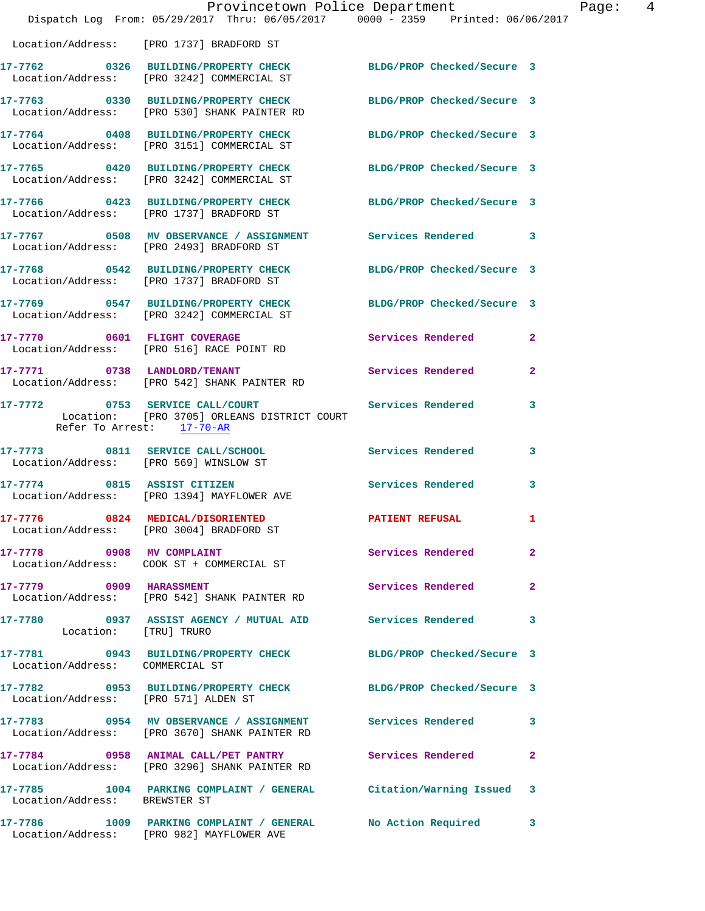|                                      | Dispatch Log From: 05/29/2017 Thru: 06/05/2017 0000 - 2359 Printed: 06/06/2017                                                | Provincetown Police Department | Page: 4        |
|--------------------------------------|-------------------------------------------------------------------------------------------------------------------------------|--------------------------------|----------------|
|                                      | Location/Address: [PRO 1737] BRADFORD ST                                                                                      |                                |                |
|                                      | 17-7762 0326 BUILDING/PROPERTY CHECK BLDG/PROP Checked/Secure 3<br>Location/Address: [PRO 3242] COMMERCIAL ST                 |                                |                |
|                                      | 17-7763 0330 BUILDING/PROPERTY CHECK BLDG/PROP Checked/Secure 3<br>Location/Address: [PRO 530] SHANK PAINTER RD               |                                |                |
|                                      | 17-7764 0408 BUILDING/PROPERTY CHECK BLDG/PROP Checked/Secure 3<br>Location/Address: [PRO 3151] COMMERCIAL ST                 |                                |                |
|                                      | 17-7765 0420 BUILDING/PROPERTY CHECK BLDG/PROP Checked/Secure 3<br>Location/Address: [PRO 3242] COMMERCIAL ST                 |                                |                |
|                                      | 17-7766 0423 BUILDING/PROPERTY CHECK BLDG/PROP Checked/Secure 3<br>Location/Address: [PRO 1737] BRADFORD ST                   |                                |                |
|                                      | 17-7767 0508 MV OBSERVANCE / ASSIGNMENT Services Rendered 3<br>Location/Address: [PRO 2493] BRADFORD ST                       |                                |                |
|                                      | 17-7768 0542 BUILDING/PROPERTY CHECK BLDG/PROP Checked/Secure 3<br>Location/Address: [PRO 1737] BRADFORD ST                   |                                |                |
|                                      | 17-7769 0547 BUILDING/PROPERTY CHECK BLDG/PROP Checked/Secure 3<br>Location/Address: [PRO 3242] COMMERCIAL ST                 |                                |                |
|                                      | 17-7770 0601 FLIGHT COVERAGE<br>Location/Address: [PRO 516] RACE POINT RD                                                     | Services Rendered              | $\mathbf{2}$   |
|                                      | 17-7771 0738 LANDLORD/TENANT Services Rendered<br>Location/Address: [PRO 542] SHANK PAINTER RD                                |                                | $\overline{2}$ |
|                                      | 17-7772 0753 SERVICE CALL/COURT Services Rendered<br>Location: [PRO 3705] ORLEANS DISTRICT COURT<br>Refer To Arrest: 17-70-AR |                                | 3              |
|                                      | 17-7773 0811 SERVICE CALL/SCHOOL 5ervices Rendered 3<br>Location/Address: [PRO 569] WINSLOW ST                                |                                |                |
|                                      | 17-7774 0815 ASSIST CITIZEN<br>Location/Address: [PRO 1394] MAYFLOWER AVE                                                     | Services Rendered 3            |                |
|                                      | 17-7776 0824 MEDICAL/DISORIENTED<br>Location/Address: [PRO 3004] BRADFORD ST                                                  | <b>PATIENT REFUSAL</b>         |                |
|                                      | 17-7778 0908 MV COMPLAINT                                                                                                     | <b>Services Rendered</b>       | $\overline{a}$ |
| 17-7779 0909 HARASSMENT              | Location/Address: [PRO 542] SHANK PAINTER RD                                                                                  | <b>Services Rendered</b>       | $\mathbf{2}$   |
| Location: [TRU] TRURO                | 17-7780 0937 ASSIST AGENCY / MUTUAL AID Services Rendered                                                                     |                                | 3              |
| Location/Address: COMMERCIAL ST      | 17-7781 0943 BUILDING/PROPERTY CHECK BLDG/PROP Checked/Secure 3                                                               |                                |                |
| Location/Address: [PRO 571] ALDEN ST | 17-7782 0953 BUILDING/PROPERTY CHECK BLDG/PROP Checked/Secure 3                                                               |                                |                |
|                                      | 17-7783 0954 MV OBSERVANCE / ASSIGNMENT Services Rendered 3<br>Location/Address: [PRO 3670] SHANK PAINTER RD                  |                                |                |
|                                      | 17-7784 0958 ANIMAL CALL/PET PANTRY Services Rendered<br>Location/Address: [PRO 3296] SHANK PAINTER RD                        |                                | $\mathbf{2}$   |
| Location/Address: BREWSTER ST        | 17-7785 1004 PARKING COMPLAINT / GENERAL Citation/Warning Issued 3                                                            |                                |                |
|                                      | 17-7786 1009 PARKING COMPLAINT / GENERAL<br>Location/Address: [PRO 982] MAYFLOWER AVE                                         | No Action Required             | 3              |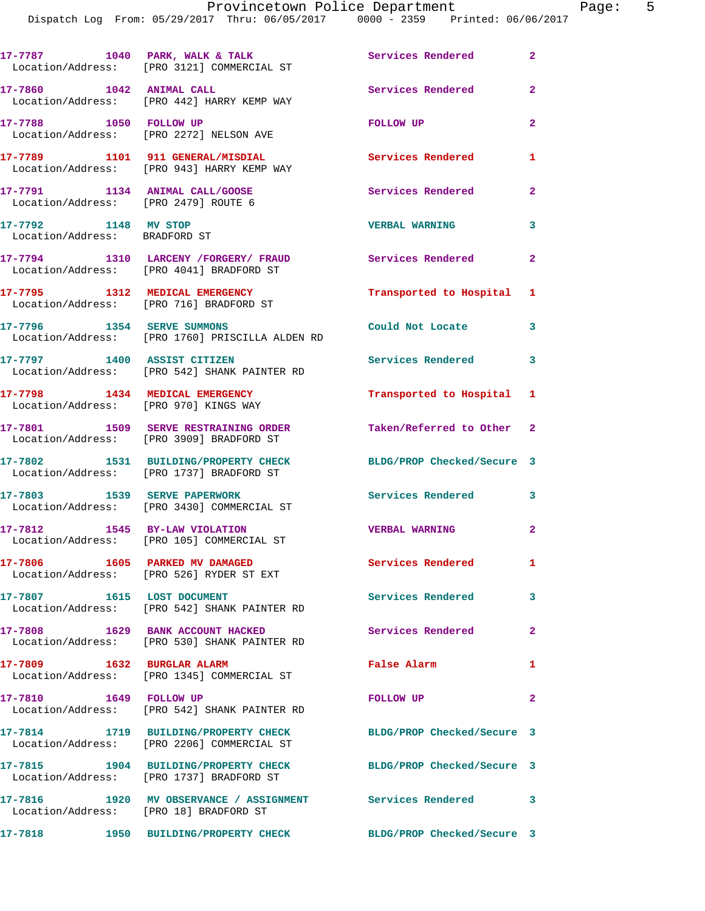Dispatch Log From: 05/29/2017 Thru: 06/05/2017 0000 - 2359 Printed: 06/06/2017

17-7787 1040 PARK, WALK & TALK **Services Rendered** 2 Location/Address: [PRO 3121] COMMERCIAL ST **17-7860 1042 ANIMAL CALL Services Rendered 2**  Location/Address: [PRO 442] HARRY KEMP WAY **17-7788 1050 FOLLOW UP FOLLOW UP 2**  Location/Address: [PRO 2272] NELSON AVE **17-7789 1101 911 GENERAL/MISDIAL Services Rendered 1**  Location/Address: [PRO 943] HARRY KEMP WAY **17-7791 1134 ANIMAL CALL/GOOSE Services Rendered 2**  Location/Address: [PRO 2479] ROUTE 6 **17-7792 1148 MV STOP VERBAL WARNING 3**  Location/Address: BRADFORD ST **17-7794 1310 LARCENY /FORGERY/ FRAUD Services Rendered 2**  Location/Address: [PRO 4041] BRADFORD ST **17-7795 1312 MEDICAL EMERGENCY Transported to Hospital 1**  Location/Address: [PRO 716] BRADFORD ST **17-7796 1354 SERVE SUMMONS Could Not Locate 3**  Location/Address: [PRO 1760] PRISCILLA ALDEN RD **17-7797 1400 ASSIST CITIZEN Services Rendered 3**  Location/Address: [PRO 542] SHANK PAINTER RD **17-7798 1434 MEDICAL EMERGENCY Transported to Hospital 1**  Location/Address: [PRO 970] KINGS WAY **17-7801 1509 SERVE RESTRAINING ORDER Taken/Referred to Other 2**  Location/Address: [PRO 3909] BRADFORD ST **17-7802 1531 BUILDING/PROPERTY CHECK BLDG/PROP Checked/Secure 3**  Location/Address: [PRO 1737] BRADFORD ST **17-7803 1539 SERVE PAPERWORK Services Rendered 3**  Location/Address: [PRO 3430] COMMERCIAL ST **17-7812 1545 BY-LAW VIOLATION VERBAL WARNING 2**  Location/Address: [PRO 105] COMMERCIAL ST **17-7806 1605 PARKED MV DAMAGED Services Rendered 1**  Location/Address: [PRO 526] RYDER ST EXT **17-7807 1615 LOST DOCUMENT Services Rendered 3**  Location/Address: [PRO 542] SHANK PAINTER RD **17-7808 1629 BANK ACCOUNT HACKED Services Rendered 2**  Location/Address: [PRO 530] SHANK PAINTER RD **17-7809 1632 BURGLAR ALARM False Alarm 1**  Location/Address: [PRO 1345] COMMERCIAL ST **17-7810 1649 FOLLOW UP FOLLOW UP 2**  Location/Address: [PRO 542] SHANK PAINTER RD **17-7814 1719 BUILDING/PROPERTY CHECK BLDG/PROP Checked/Secure 3**  Location/Address: [PRO 2206] COMMERCIAL ST **17-7815 1904 BUILDING/PROPERTY CHECK BLDG/PROP Checked/Secure 3**  Location/Address: [PRO 1737] BRADFORD ST **17-7816 1920 MV OBSERVANCE / ASSIGNMENT Services Rendered 3**  Location/Address: [PRO 18] BRADFORD ST **17-7818 1950 BUILDING/PROPERTY CHECK BLDG/PROP Checked/Secure 3**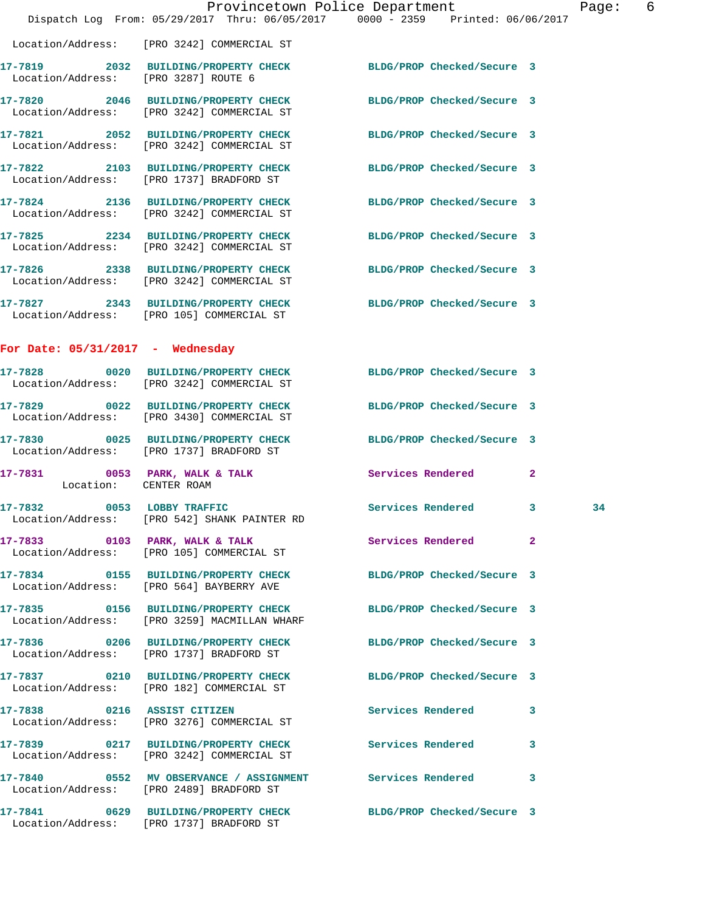|                                    |                                                                                                                 | Provincetown Police Department The Page: 6<br>Dispatch Log From: 05/29/2017 Thru: 06/05/2017 0000 - 2359 Printed: 06/06/2017 |    |  |
|------------------------------------|-----------------------------------------------------------------------------------------------------------------|------------------------------------------------------------------------------------------------------------------------------|----|--|
|                                    | Location/Address: [PRO 3242] COMMERCIAL ST                                                                      |                                                                                                                              |    |  |
|                                    | 17-7819 2032 BUILDING/PROPERTY CHECK BLDG/PROP Checked/Secure 3<br>Location/Address: [PRO 3287] ROUTE 6         |                                                                                                                              |    |  |
|                                    | 17-7820 2046 BUILDING/PROPERTY CHECK BLDG/PROP Checked/Secure 3<br>Location/Address: [PRO 3242] COMMERCIAL ST   |                                                                                                                              |    |  |
|                                    | 17-7821 2052 BUILDING/PROPERTY CHECK BLDG/PROP Checked/Secure 3<br>Location/Address: [PRO 3242] COMMERCIAL ST   |                                                                                                                              |    |  |
|                                    | 17-7822 2103 BUILDING/PROPERTY CHECK BLDG/PROP Checked/Secure 3<br>Location/Address: [PRO 1737] BRADFORD ST     |                                                                                                                              |    |  |
|                                    | 17-7824 2136 BUILDING/PROPERTY CHECK BLDG/PROP Checked/Secure 3<br>Location/Address: [PRO 3242] COMMERCIAL ST   |                                                                                                                              |    |  |
|                                    | 17-7825 2234 BUILDING/PROPERTY CHECK BLDG/PROP Checked/Secure 3<br>Location/Address: [PRO 3242] COMMERCIAL ST   |                                                                                                                              |    |  |
|                                    | 17-7826 2338 BUILDING/PROPERTY CHECK BLDG/PROP Checked/Secure 3<br>Location/Address: [PRO 3242] COMMERCIAL ST   |                                                                                                                              |    |  |
|                                    | 17-7827 2343 BUILDING/PROPERTY CHECK BLDG/PROP Checked/Secure 3<br>Location/Address: [PRO 105] COMMERCIAL ST    |                                                                                                                              |    |  |
| For Date: $05/31/2017$ - Wednesday |                                                                                                                 |                                                                                                                              |    |  |
|                                    | 17-7828 0020 BUILDING/PROPERTY CHECK BLDG/PROP Checked/Secure 3<br>Location/Address: [PRO 3242] COMMERCIAL ST   |                                                                                                                              |    |  |
|                                    | 17-7829 0022 BUILDING/PROPERTY CHECK BLDG/PROP Checked/Secure 3<br>Location/Address: [PRO 3430] COMMERCIAL ST   |                                                                                                                              |    |  |
|                                    | 17-7830 0025 BUILDING/PROPERTY CHECK BLDG/PROP Checked/Secure 3<br>Location/Address: [PRO 1737] BRADFORD ST     |                                                                                                                              |    |  |
| Location: CENTER ROAM              | 17-7831 0053 PARK, WALK & TALK Services Rendered 2                                                              |                                                                                                                              |    |  |
|                                    | 17-7832 0053 LOBBY TRAFFIC<br>Location/Address: [PRO 542] SHANK PAINTER RD                                      | Services Rendered 3                                                                                                          | 34 |  |
|                                    | 17-7833 0103 PARK, WALK & TALK 3 Services Rendered<br>Location/Address: [PRO 105] COMMERCIAL ST                 | $\mathbf{2}$                                                                                                                 |    |  |
|                                    | 17-7834 0155 BUILDING/PROPERTY CHECK BLDG/PROP Checked/Secure 3<br>Location/Address: [PRO 564] BAYBERRY AVE     |                                                                                                                              |    |  |
|                                    | 17-7835 0156 BUILDING/PROPERTY CHECK BLDG/PROP Checked/Secure 3<br>Location/Address: [PRO 3259] MACMILLAN WHARF |                                                                                                                              |    |  |
|                                    | 17-7836 0206 BUILDING/PROPERTY CHECK BLDG/PROP Checked/Secure 3<br>Location/Address: [PRO 1737] BRADFORD ST     |                                                                                                                              |    |  |
|                                    | 17-7837 0210 BUILDING/PROPERTY CHECK BLDG/PROP Checked/Secure 3<br>Location/Address: [PRO 182] COMMERCIAL ST    |                                                                                                                              |    |  |
|                                    | 17-7838 0216 ASSIST CITIZEN<br>Location/Address: [PRO 3276] COMMERCIAL ST                                       | Services Rendered<br>3                                                                                                       |    |  |
|                                    | 17-7839 0217 BUILDING/PROPERTY CHECK Services Rendered<br>Location/Address: [PRO 3242] COMMERCIAL ST            | 3                                                                                                                            |    |  |
|                                    | 17-7840 0552 MV OBSERVANCE / ASSIGNMENT Services Rendered<br>Location/Address: [PRO 2489] BRADFORD ST           | 3                                                                                                                            |    |  |
|                                    | 17-7841 0629 BUILDING/PROPERTY CHECK BLDG/PROP Checked/Secure 3<br>Location/Address: [PRO 1737] BRADFORD ST     |                                                                                                                              |    |  |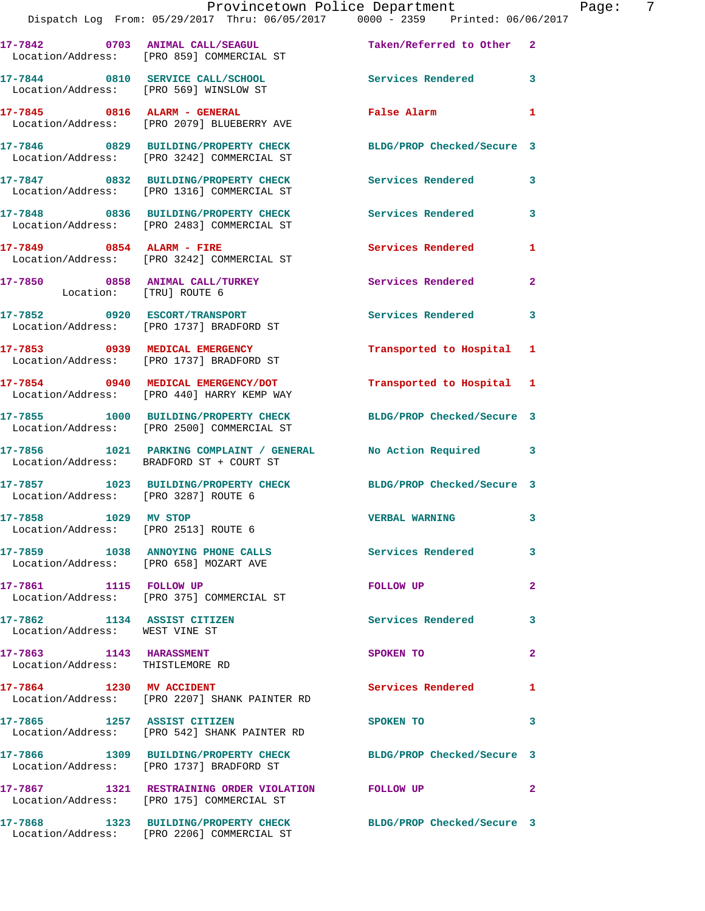|                                                               | Provincetown Police Department<br>Dispatch Log From: 05/29/2017 Thru: 06/05/2017   0000 - 2359   Printed: 06/06/2017 |                           | Page: 7        |
|---------------------------------------------------------------|----------------------------------------------------------------------------------------------------------------------|---------------------------|----------------|
|                                                               | 17-7842 0703 ANIMAL CALL/SEAGUL<br>Location/Address: [PRO 859] COMMERCIAL ST                                         | Taken/Referred to Other 2 |                |
|                                                               | 17-7844 0810 SERVICE CALL/SCHOOL<br>Location/Address: [PRO 569] WINSLOW ST                                           | Services Rendered 3       |                |
|                                                               | 17-7845 0816 ALARM - GENERAL<br>Location/Address: [PRO 2079] BLUEBERRY AVE                                           | False Alarm               | $\mathbf{1}$   |
|                                                               | 17-7846 0829 BUILDING/PROPERTY CHECK BLDG/PROP Checked/Secure 3<br>Location/Address: [PRO 3242] COMMERCIAL ST        |                           |                |
|                                                               | 17-7847 0832 BUILDING/PROPERTY CHECK Services Rendered 3<br>Location/Address: [PRO 1316] COMMERCIAL ST               |                           |                |
|                                                               | 17-7848 0836 BUILDING/PROPERTY CHECK Services Rendered 3<br>Location/Address: [PRO 2483] COMMERCIAL ST               |                           |                |
|                                                               | 17-7849 0854 ALARM - FIRE<br>Location/Address: [PRO 3242] COMMERCIAL ST                                              | Services Rendered         | $\mathbf{1}$   |
|                                                               | 17-7850 0858 ANIMAL CALL/TURKEY Services Rendered<br>Location: [TRU] ROUTE 6                                         |                           | $\overline{2}$ |
|                                                               | 17-7852     0920   ESCORT/TRANSPORT<br>Location/Address:   [PRO 1737] BRADFORD ST                                    | Services Rendered 3       |                |
|                                                               | 17-7853 0939 MEDICAL EMERGENCY<br>Location/Address: [PRO 1737] BRADFORD ST                                           | Transported to Hospital 1 |                |
|                                                               | 17-7854 0940 MEDICAL EMERGENCY/DOT<br>Location/Address: [PRO 440] HARRY KEMP WAY                                     | Transported to Hospital 1 |                |
|                                                               | 17-7855 1000 BUILDING/PROPERTY CHECK BLDG/PROP Checked/Secure 3<br>Location/Address: [PRO 2500] COMMERCIAL ST        |                           |                |
|                                                               | 17-7856 1021 PARKING COMPLAINT / GENERAL No Action Required 3<br>Location/Address: BRADFORD ST + COURT ST            |                           |                |
| Location/Address: [PRO 3287] ROUTE 6                          | 17-7857 1023 BUILDING/PROPERTY CHECK BLDG/PROP Checked/Secure 3                                                      |                           |                |
| 17-7858 1029 MV STOP                                          | Location/Address: [PRO 2513] ROUTE 6                                                                                 | <b>VERBAL WARNING</b>     | 3              |
|                                                               | 17-7859 1038 ANNOYING PHONE CALLS 5 Services Rendered 3<br>Location/Address: [PRO 658] MOZART AVE                    |                           |                |
|                                                               | 17-7861 1115 FOLLOW UP<br>Location/Address: [PRO 375] COMMERCIAL ST                                                  | FOLLOW UP                 | $\mathbf{2}$   |
| 17-7862 1134 ASSIST CITIZEN<br>Location/Address: WEST VINE ST |                                                                                                                      | Services Rendered 3       |                |
| 17-7863 1143 HARASSMENT<br>Location/Address: THISTLEMORE RD   |                                                                                                                      | SPOKEN TO                 | $\mathbf{2}$   |
| 17-7864 1230 MV ACCIDENT                                      | Location/Address: [PRO 2207] SHANK PAINTER RD                                                                        | Services Rendered 1       |                |
|                                                               | 17-7865 1257 ASSIST CITIZEN<br>Location/Address: [PRO 542] SHANK PAINTER RD                                          | SPOKEN TO                 | 3              |
|                                                               | 17-7866 1309 BUILDING/PROPERTY CHECK BLDG/PROP Checked/Secure 3<br>Location/Address: [PRO 1737] BRADFORD ST          |                           |                |
|                                                               | 17-7867 1321 RESTRAINING ORDER VIOLATION FOLLOW UP<br>Location/Address: [PRO 175] COMMERCIAL ST                      |                           | $\sim$ 2       |
|                                                               | 17-7868 1323 BUILDING/PROPERTY CHECK BLDG/PROP Checked/Secure 3<br>Location/Address: [PRO 2206] COMMERCIAL ST        |                           |                |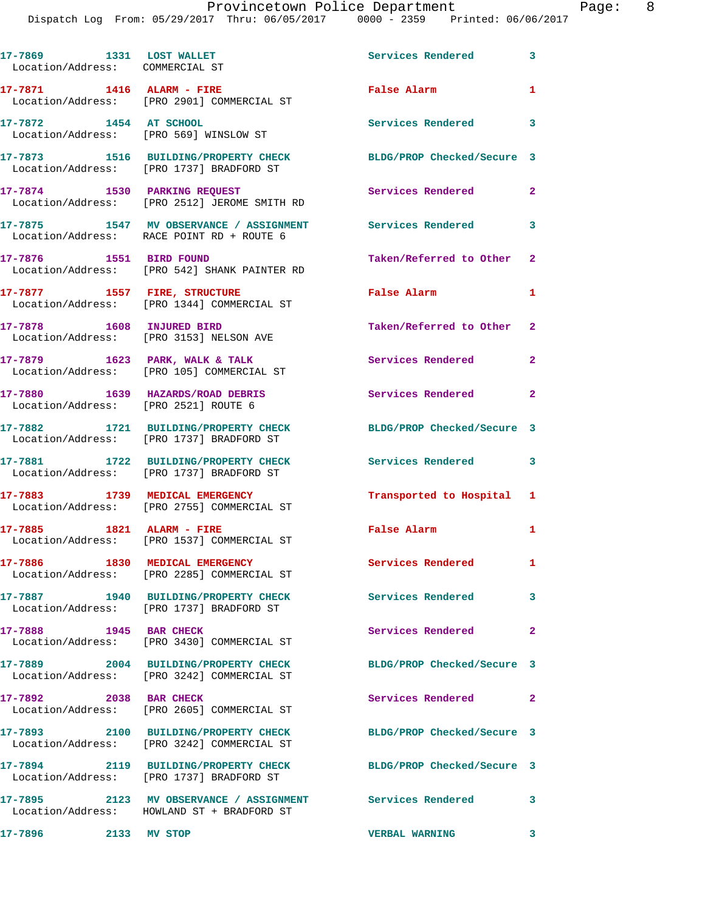| 17-7869 1331 LOST WALLET<br>Location/Address: COMMERCIAL ST |                                                                                                          | Services Rendered          | $\overline{\mathbf{3}}$ |
|-------------------------------------------------------------|----------------------------------------------------------------------------------------------------------|----------------------------|-------------------------|
| 17-7871 1416 ALARM - FIRE                                   | Location/Address: [PRO 2901] COMMERCIAL ST                                                               | False Alarm                | $\mathbf{1}$            |
| 17-7872 1454 AT SCHOOL                                      | Location/Address: [PRO 569] WINSLOW ST                                                                   | Services Rendered          | $\overline{\mathbf{3}}$ |
|                                                             | 17-7873 1516 BUILDING/PROPERTY CHECK<br>Location/Address: [PRO 1737] BRADFORD ST                         | BLDG/PROP Checked/Secure 3 |                         |
|                                                             | 17-7874 1530 PARKING REQUEST<br>Location/Address: [PRO 2512] JEROME SMITH RD                             | Services Rendered 2        |                         |
|                                                             | 17-7875 1547 MV OBSERVANCE / ASSIGNMENT Services Rendered 3<br>Location/Address: RACE POINT RD + ROUTE 6 |                            |                         |
| 17-7876 1551 BIRD FOUND                                     | Location/Address: [PRO 542] SHANK PAINTER RD                                                             | Taken/Referred to Other 2  |                         |
| 17-7877 1557 FIRE, STRUCTURE                                | Location/Address: [PRO 1344] COMMERCIAL ST                                                               | False Alarm                | $\mathbf{1}$            |
| 17-7878 1608 INJURED BIRD                                   | Location/Address: [PRO 3153] NELSON AVE                                                                  | Taken/Referred to Other 2  |                         |
|                                                             | $17-7879$ 1623 PARK, WALK & TALK<br>Location/Address: [PRO 105] COMMERCIAL ST                            | Services Rendered          | $\mathbf{2}$            |
| Location/Address: [PRO 2521] ROUTE 6                        | 17-7880 1639 HAZARDS/ROAD DEBRIS                                                                         | Services Rendered          | $\overline{2}$          |
|                                                             | 17-7882 1721 BUILDING/PROPERTY CHECK                                                                     | BLDG/PROP Checked/Secure 3 |                         |
|                                                             | Location/Address: [PRO 1737] BRADFORD ST<br>17-7881 1722 BUILDING/PROPERTY CHECK                         | Services Rendered 3        |                         |
|                                                             | Location/Address: [PRO 1737] BRADFORD ST<br>17-7883 1739 MEDICAL EMERGENCY                               | Transported to Hospital 1  |                         |
|                                                             | Location/Address: [PRO 2755] COMMERCIAL ST                                                               |                            |                         |
| 17-7885 1821 ALARM - FIRE                                   | Location/Address: [PRO 1537] COMMERCIAL ST                                                               | False Alarm                | $\mathbf{1}$            |
|                                                             | 17-7886 1830 MEDICAL EMERGENCY<br>Location/Address: [PRO 2285] COMMERCIAL ST                             | Services Rendered          | $\mathbf{1}$            |
|                                                             | 17-7887 1940 BUILDING/PROPERTY CHECK<br>Location/Address: [PRO 1737] BRADFORD ST                         | <b>Services Rendered</b>   | 3                       |
| 17-7888 1945 BAR CHECK                                      | Location/Address: [PRO 3430] COMMERCIAL ST                                                               | Services Rendered          | $\mathbf{2}$            |
|                                                             | 17-7889 2004 BUILDING/PROPERTY CHECK<br>Location/Address: [PRO 3242] COMMERCIAL ST                       | BLDG/PROP Checked/Secure 3 |                         |
| 17-7892 2038 BAR CHECK                                      | Location/Address: [PRO 2605] COMMERCIAL ST                                                               | Services Rendered 2        |                         |
|                                                             | 17-7893 2100 BUILDING/PROPERTY CHECK<br>Location/Address: [PRO 3242] COMMERCIAL ST                       | BLDG/PROP Checked/Secure 3 |                         |
|                                                             | 17-7894 2119 BUILDING/PROPERTY CHECK<br>Location/Address: [PRO 1737] BRADFORD ST                         | BLDG/PROP Checked/Secure 3 |                         |
|                                                             | Location/Address: HOWLAND ST + BRADFORD ST                                                               | <b>Services Rendered</b>   | 3                       |
| 17-7896 2133 MV STOP                                        |                                                                                                          | <b>VERBAL WARNING</b>      | $\overline{\mathbf{3}}$ |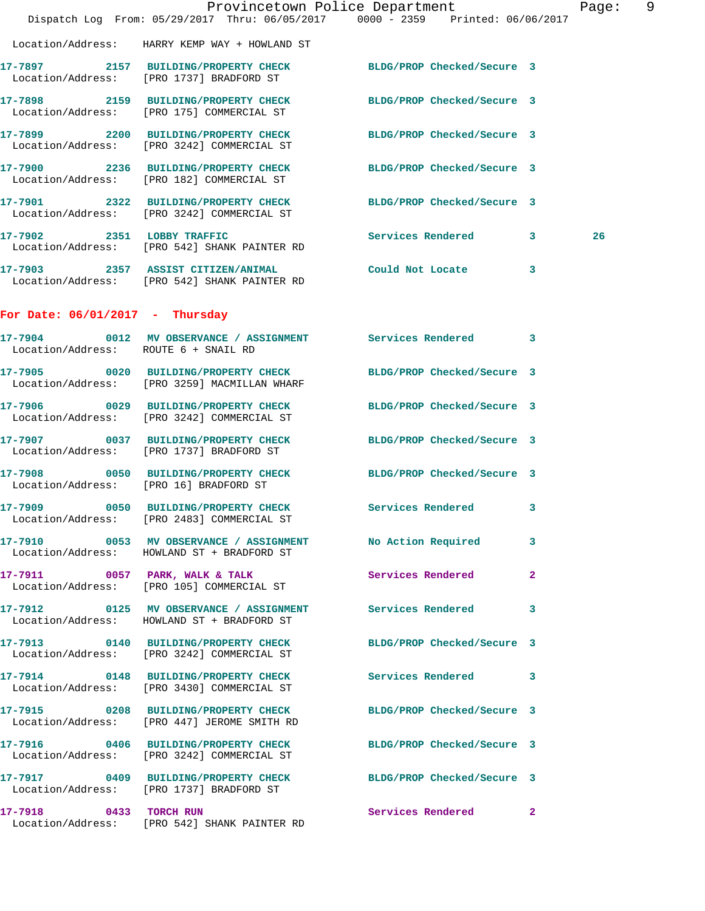|                                        | Dispatch Log From: 05/29/2017 Thru: 06/05/2017 0000 - 2359 Printed: 06/06/2017                                | Provincetown Police Department |   | Page: 9 |  |
|----------------------------------------|---------------------------------------------------------------------------------------------------------------|--------------------------------|---|---------|--|
|                                        | Location/Address: HARRY KEMP WAY + HOWLAND ST                                                                 |                                |   |         |  |
|                                        | 17-7897 2157 BUILDING/PROPERTY CHECK<br>Location/Address: [PRO 1737] BRADFORD ST                              | BLDG/PROP Checked/Secure 3     |   |         |  |
|                                        | 17-7898 2159 BUILDING/PROPERTY CHECK<br>Location/Address: [PRO 175] COMMERCIAL ST                             | BLDG/PROP Checked/Secure 3     |   |         |  |
|                                        | 17-7899 2200 BUILDING/PROPERTY CHECK<br>Location/Address: [PRO 3242] COMMERCIAL ST                            | BLDG/PROP Checked/Secure 3     |   |         |  |
|                                        | 17-7900 2236 BUILDING/PROPERTY CHECK<br>Location/Address: [PRO 182] COMMERCIAL ST                             | BLDG/PROP Checked/Secure 3     |   |         |  |
|                                        | 17-7901 2322 BUILDING/PROPERTY CHECK<br>Location/Address: [PRO 3242] COMMERCIAL ST                            | BLDG/PROP Checked/Secure 3     |   |         |  |
|                                        | 17-7902 2351 LOBBY TRAFFIC<br>Location/Address: [PRO 542] SHANK PAINTER RD                                    | Services Rendered 3            |   | 26      |  |
|                                        | 17-7903 2357 ASSIST CITIZEN/ANIMAL Could Not Locate 3<br>Location/Address: [PRO 542] SHANK PAINTER RD         |                                |   |         |  |
| For Date: $06/01/2017$ - Thursday      |                                                                                                               |                                |   |         |  |
| Location/Address: ROUTE 6 + SNAIL RD   | 17-7904 0012 MV OBSERVANCE / ASSIGNMENT Services Rendered 3                                                   |                                |   |         |  |
|                                        | 17-7905 0020 BUILDING/PROPERTY CHECK<br>Location/Address: [PRO 3259] MACMILLAN WHARF                          | BLDG/PROP Checked/Secure 3     |   |         |  |
|                                        | 17-7906 0029 BUILDING/PROPERTY CHECK<br>Location/Address: [PRO 3242] COMMERCIAL ST                            | BLDG/PROP Checked/Secure 3     |   |         |  |
|                                        | 17-7907 0037 BUILDING/PROPERTY CHECK<br>Location/Address: [PRO 1737] BRADFORD ST                              | BLDG/PROP Checked/Secure 3     |   |         |  |
| Location/Address: [PRO 16] BRADFORD ST | 17-7908 0050 BUILDING/PROPERTY CHECK                                                                          | BLDG/PROP Checked/Secure 3     |   |         |  |
|                                        | 17-7909 0050 BUILDING/PROPERTY CHECK Services Rendered 3<br>Location/Address: [PRO 2483] COMMERCIAL ST        |                                |   |         |  |
|                                        | 17-7910 0053 MV OBSERVANCE / ASSIGNMENT No Action Required<br>Location/Address: HOWLAND ST + BRADFORD ST      |                                | 3 |         |  |
|                                        | 17-7911 0057 PARK, WALK & TALK<br>Location/Address: [PRO 105] COMMERCIAL ST                                   | Services Rendered              | 2 |         |  |
|                                        | 17-7912 0125 MV OBSERVANCE / ASSIGNMENT Services Rendered 3<br>Location/Address: HOWLAND ST + BRADFORD ST     |                                |   |         |  |
|                                        | 17-7913 0140 BUILDING/PROPERTY CHECK<br>Location/Address: [PRO 3242] COMMERCIAL ST                            | BLDG/PROP Checked/Secure 3     |   |         |  |
|                                        | 17-7914 0148 BUILDING/PROPERTY CHECK Services Rendered 3<br>Location/Address: [PRO 3430] COMMERCIAL ST        |                                |   |         |  |
|                                        | 17-7915 0208 BUILDING/PROPERTY CHECK<br>Location/Address: [PRO 447] JEROME SMITH RD                           | BLDG/PROP Checked/Secure 3     |   |         |  |
|                                        | 17-7916 0406 BUILDING/PROPERTY CHECK BLDG/PROP Checked/Secure 3<br>Location/Address: [PRO 3242] COMMERCIAL ST |                                |   |         |  |
|                                        | 17-7917 0409 BUILDING/PROPERTY CHECK<br>Location/Address: [PRO 1737] BRADFORD ST                              | BLDG/PROP Checked/Secure 3     |   |         |  |
| 17-7918 0433 TORCH RUN                 | Location/Address: [PRO 542] SHANK PAINTER RD                                                                  | Services Rendered 2            |   |         |  |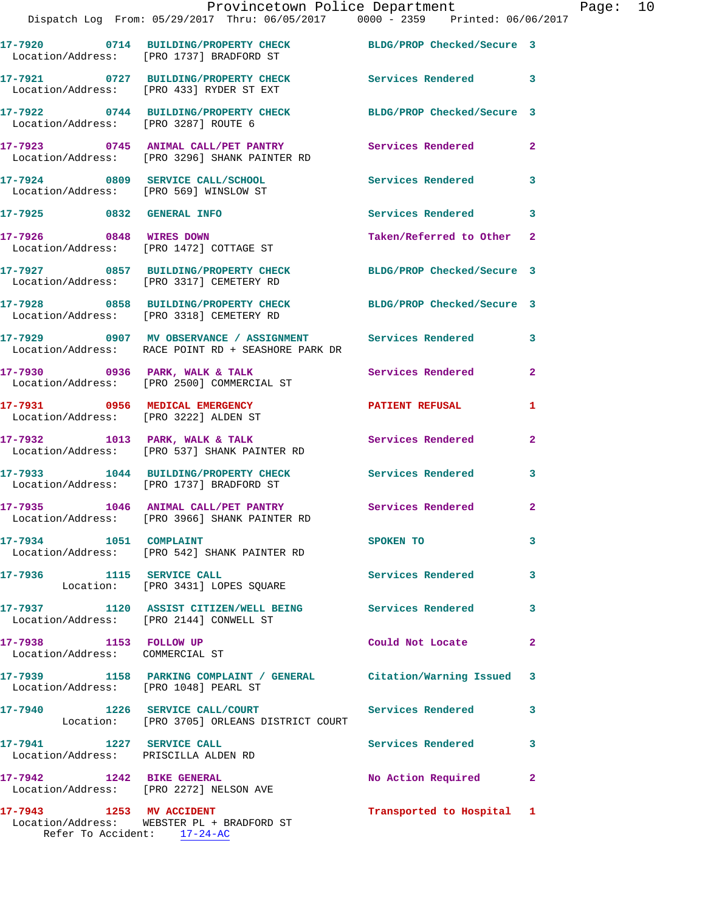|                                      | Provincetown Police Department<br>Dispatch Log From: 05/29/2017 Thru: 06/05/2017 0000 - 2359 Printed: 06/06/2017  |                           |              | Page: 10 |  |
|--------------------------------------|-------------------------------------------------------------------------------------------------------------------|---------------------------|--------------|----------|--|
|                                      | 17-7920 0714 BUILDING/PROPERTY CHECK BLDG/PROP Checked/Secure 3<br>Location/Address: [PRO 1737] BRADFORD ST       |                           |              |          |  |
|                                      | 17-7921 0727 BUILDING/PROPERTY CHECK<br>Location/Address: [PRO 433] RYDER ST EXT                                  | Services Rendered 3       |              |          |  |
| Location/Address: [PRO 3287] ROUTE 6 | 17-7922 0744 BUILDING/PROPERTY CHECK BLDG/PROP Checked/Secure 3                                                   |                           |              |          |  |
|                                      | 17-7923 0745 ANIMAL CALL/PET PANTRY Services Rendered 2<br>Location/Address: [PRO 3296] SHANK PAINTER RD          |                           |              |          |  |
|                                      | 17-7924 0809 SERVICE CALL/SCHOOL 5 Services Rendered 3<br>Location/Address: [PRO 569] WINSLOW ST                  |                           |              |          |  |
|                                      | 17-7925 0832 GENERAL INFO                                                                                         | Services Rendered 3       |              |          |  |
|                                      | 17-7926 0848 WIRES DOWN<br>Location/Address: [PRO 1472] COTTAGE ST                                                | Taken/Referred to Other 2 |              |          |  |
|                                      | 17-7927 0857 BUILDING/PROPERTY CHECK BLDG/PROP Checked/Secure 3<br>Location/Address: [PRO 3317] CEMETERY RD       |                           |              |          |  |
|                                      | 17-7928 0858 BUILDING/PROPERTY CHECK BLDG/PROP Checked/Secure 3<br>Location/Address: [PRO 3318] CEMETERY RD       |                           |              |          |  |
|                                      | 17-7929 0907 MV OBSERVANCE / ASSIGNMENT Services Rendered 3<br>Location/Address: RACE POINT RD + SEASHORE PARK DR |                           |              |          |  |
|                                      | 17-7930 0936 PARK, WALK & TALK Services Rendered<br>Location/Address: [PRO 2500] COMMERCIAL ST                    |                           | $\mathbf{2}$ |          |  |
|                                      | 17-7931 0956 MEDICAL EMERGENCY PATIENT REFUSAL<br>Location/Address: [PRO 3222] ALDEN ST                           |                           | 1            |          |  |
|                                      | 17-7932 1013 PARK, WALK & TALK 1988 Services Rendered<br>Location/Address: [PRO 537] SHANK PAINTER RD             |                           | -2           |          |  |
|                                      | 17-7933 1044 BUILDING/PROPERTY CHECK Services Rendered 3<br>Location/Address: [PRO 1737] BRADFORD ST              |                           |              |          |  |
|                                      | 17-7935 1046 ANIMAL CALL/PET PANTRY<br>Location/Address: [PRO 3966] SHANK PAINTER RD                              | Services Rendered         | $\mathbf{2}$ |          |  |
| 17-7934 1051 COMPLAINT               | Location/Address: [PRO 542] SHANK PAINTER RD                                                                      | SPOKEN TO                 | 3            |          |  |
|                                      | 17-7936 1115 SERVICE CALL<br>Location: [PRO 3431] LOPES SQUARE                                                    | <b>Services Rendered</b>  | 3            |          |  |
|                                      | 17-7937 1120 ASSIST CITIZEN/WELL BEING Services Rendered 3<br>Location/Address: [PRO 2144] CONWELL ST             |                           |              |          |  |
| Location/Address: COMMERCIAL ST      | 17-7938 1153 FOLLOW UP                                                                                            | Could Not Locate          | $\mathbf{2}$ |          |  |
|                                      | 17-7939 1158 PARKING COMPLAINT / GENERAL Citation/Warning Issued 3<br>Location/Address: [PRO 1048] PEARL ST       |                           |              |          |  |
|                                      | 17-7940 1226 SERVICE CALL/COURT Services Rendered<br>Location: [PRO 3705] ORLEANS DISTRICT COURT                  |                           | 3            |          |  |
|                                      | 17-7941 1227 SERVICE CALL<br>Location/Address: PRISCILLA ALDEN RD                                                 | Services Rendered 3       |              |          |  |
|                                      | 17-7942 1242 BIKE GENERAL<br>Location/Address: [PRO 2272] NELSON AVE                                              | No Action Required        | -2           |          |  |
| 17-7943 1253 MV ACCIDENT             | Location/Address: WEBSTER PL + BRADFORD ST                                                                        | Transported to Hospital 1 |              |          |  |

Refer To Accident: 17-24-AC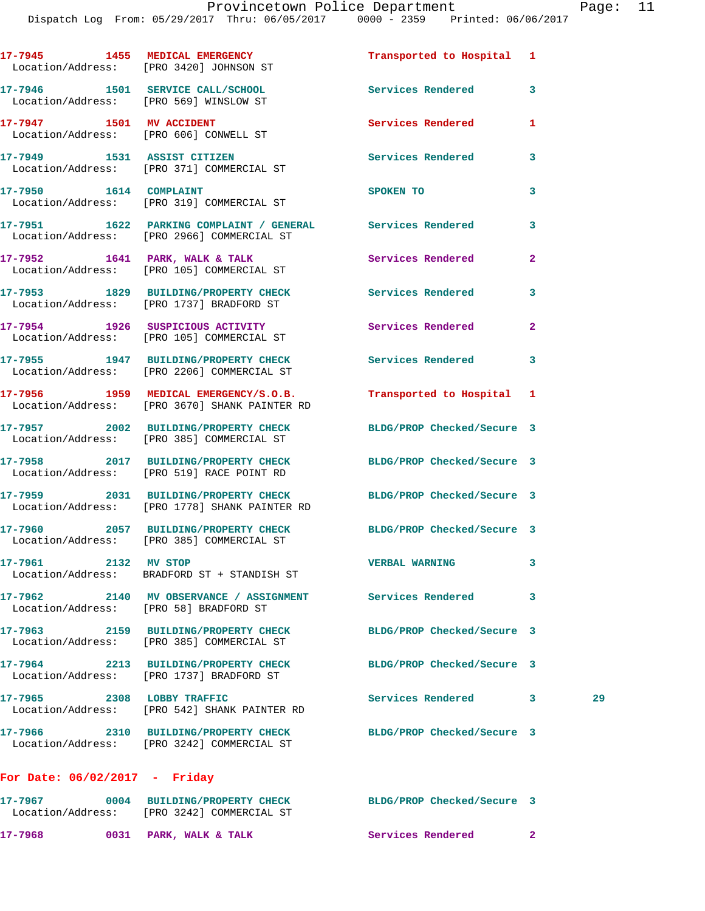|                                        | 17-7945 1455 MEDICAL EMERGENCY<br>Location/Address: [PRO 3420] JOHNSON ST                                        | Transported to Hospital 1  |                |
|----------------------------------------|------------------------------------------------------------------------------------------------------------------|----------------------------|----------------|
|                                        | 17-7946 1501 SERVICE CALL/SCHOOL<br>Location/Address: [PRO 569] WINSLOW ST                                       | Services Rendered          | 3              |
| 17-7947 1501 MV ACCIDENT               | Location/Address: [PRO 606] CONWELL ST                                                                           | Services Rendered          | 1              |
|                                        | 17-7949 1531 ASSIST CITIZEN<br>Location/Address: [PRO 371] COMMERCIAL ST                                         | Services Rendered          | 3              |
| 17-7950 1614 COMPLAINT                 | Location/Address: [PRO 319] COMMERCIAL ST                                                                        | <b>SPOKEN TO</b>           | 3              |
|                                        | 17-7951 1622 PARKING COMPLAINT / GENERAL Services Rendered<br>Location/Address: [PRO 2966] COMMERCIAL ST         |                            | 3              |
|                                        | 17-7952 1641 PARK, WALK & TALK<br>Location/Address: [PRO 105] COMMERCIAL ST                                      | Services Rendered          | $\overline{a}$ |
|                                        | 17-7953 1829 BUILDING/PROPERTY CHECK<br>Location/Address: [PRO 1737] BRADFORD ST                                 | Services Rendered          | 3              |
|                                        | 17-7954 1926 SUSPICIOUS ACTIVITY<br>Location/Address: [PRO 105] COMMERCIAL ST                                    | Services Rendered          | $\mathbf{2}$   |
|                                        | 17-7955 1947 BUILDING/PROPERTY CHECK<br>Location/Address: [PRO 2206] COMMERCIAL ST                               | Services Rendered          | 3              |
|                                        | 17-7956 1959 MEDICAL EMERGENCY/S.O.B.<br>Location/Address: [PRO 3670] SHANK PAINTER RD                           | Transported to Hospital 1  |                |
|                                        | 17-7957 2002 BUILDING/PROPERTY CHECK<br>Location/Address: [PRO 385] COMMERCIAL ST                                | BLDG/PROP Checked/Secure 3 |                |
|                                        | 17-7958 2017 BUILDING/PROPERTY CHECK BLDG/PROP Checked/Secure 3<br>Location/Address: [PRO 519] RACE POINT RD     |                            |                |
|                                        | 17-7959 2031 BUILDING/PROPERTY CHECK BLDG/PROP Checked/Secure 3<br>Location/Address: [PRO 1778] SHANK PAINTER RD |                            |                |
|                                        | 17-7960 2057 BUILDING/PROPERTY CHECK<br>Location/Address: [PRO 385] COMMERCIAL ST                                | BLDG/PROP Checked/Secure 3 |                |
| 17-7961 2132 MV STOP                   | Location/Address: BRADFORD ST + STANDISH ST                                                                      | <b>VERBAL WARNING</b>      | 3              |
| Location/Address: [PRO 58] BRADFORD ST | 17-7962 2140 MV OBSERVANCE / ASSIGNMENT Services Rendered                                                        |                            | 3              |
|                                        | 17-7963 2159 BUILDING/PROPERTY CHECK<br>Location/Address: [PRO 385] COMMERCIAL ST                                | BLDG/PROP Checked/Secure 3 |                |
|                                        | 17-7964 2213 BUILDING/PROPERTY CHECK<br>Location/Address: [PRO 1737] BRADFORD ST                                 | BLDG/PROP Checked/Secure 3 |                |
|                                        | 17-7965 2308 LOBBY TRAFFIC<br>Location/Address: [PRO 542] SHANK PAINTER RD                                       | Services Rendered 3        | 29             |
|                                        | 17-7966 2310 BUILDING/PROPERTY CHECK<br>Location/Address: [PRO 3242] COMMERCIAL ST                               | BLDG/PROP Checked/Secure 3 |                |
| For Date: 06/02/2017 - Friday          |                                                                                                                  |                            |                |

**17-7967 0004 BUILDING/PROPERTY CHECK BLDG/PROP Checked/Secure 3**  Location/Address: [PRO 3242] COMMERCIAL ST 17-7968 0031 PARK, WALK & TALK **Services Rendered** 2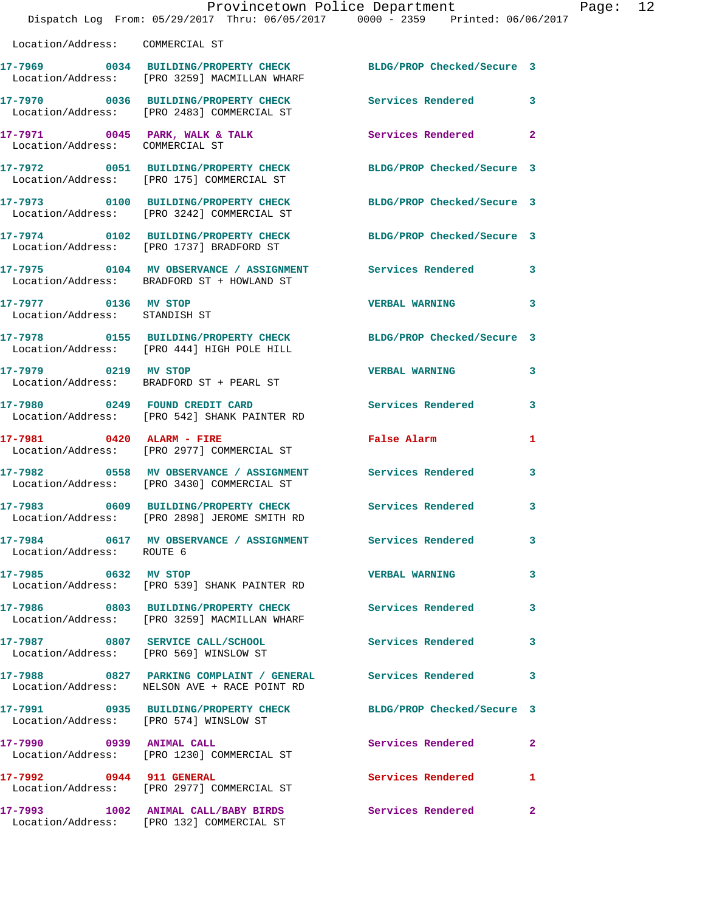|                                                       | Dispatch Log From: 05/29/2017 Thru: 06/05/2017 0000 - 2359 Printed: 06/06/2017                                  | Provincetown Police Department Page: 12 |                |  |
|-------------------------------------------------------|-----------------------------------------------------------------------------------------------------------------|-----------------------------------------|----------------|--|
| Location/Address: COMMERCIAL ST                       |                                                                                                                 |                                         |                |  |
|                                                       | 17-7969 0034 BUILDING/PROPERTY CHECK BLDG/PROP Checked/Secure 3<br>Location/Address: [PRO 3259] MACMILLAN WHARF |                                         |                |  |
|                                                       | 17-7970 0036 BUILDING/PROPERTY CHECK Services Rendered 3<br>Location/Address: [PRO 2483] COMMERCIAL ST          |                                         |                |  |
| Location/Address: COMMERCIAL ST                       | 17-7971 0045 PARK, WALK & TALK 3 Services Rendered 2                                                            |                                         |                |  |
|                                                       | 17-7972 0051 BUILDING/PROPERTY CHECK BLDG/PROP Checked/Secure 3<br>Location/Address: [PRO 175] COMMERCIAL ST    |                                         |                |  |
|                                                       | 17-7973 0100 BUILDING/PROPERTY CHECK BLDG/PROP Checked/Secure 3<br>Location/Address: [PRO 3242] COMMERCIAL ST   |                                         |                |  |
|                                                       | 17-7974 0102 BUILDING/PROPERTY CHECK BLDG/PROP Checked/Secure 3<br>Location/Address: [PRO 1737] BRADFORD ST     |                                         |                |  |
|                                                       | 17-7975 0104 MV OBSERVANCE / ASSIGNMENT Services Rendered 3<br>Location/Address: BRADFORD ST + HOWLAND ST       |                                         |                |  |
| 17-7977 0136 MV STOP<br>Location/Address: STANDISH ST |                                                                                                                 | VERBAL WARNING 3                        |                |  |
|                                                       | 17-7978 0155 BUILDING/PROPERTY CHECK BLDG/PROP Checked/Secure 3<br>Location/Address: [PRO 444] HIGH POLE HILL   |                                         |                |  |
|                                                       | 17-7979 0219 MV STOP<br>Location/Address: BRADFORD ST + PEARL ST                                                | <b>VERBAL WARNING</b>                   | 3              |  |
|                                                       | 17-7980 0249 FOUND CREDIT CARD<br>Location/Address: [PRO 542] SHANK PAINTER RD                                  | <b>Services Rendered</b>                | 3              |  |
|                                                       | 17-7981 0420 ALARM - FIRE<br>Location/Address: [PRO 2977] COMMERCIAL ST                                         | False Alarm                             | 1              |  |
|                                                       | 17-7982 0558 MV OBSERVANCE / ASSIGNMENT Services Rendered<br>Location/Address: [PRO 3430] COMMERCIAL ST         |                                         | 3              |  |
|                                                       | 17-7983 0609 BUILDING/PROPERTY CHECK<br>Location/Address: [PRO 2898] JEROME SMITH RD                            | Services Rendered                       | 3              |  |
| Location/Address: ROUTE 6                             | 17-7984 0617 MV OBSERVANCE / ASSIGNMENT Services Rendered                                                       |                                         | $\mathbf{3}$   |  |
| 17-7985 0632 MV STOP                                  | Location/Address: [PRO 539] SHANK PAINTER RD                                                                    | <b>VERBAL WARNING</b>                   | 3              |  |
|                                                       | 17-7986 0803 BUILDING/PROPERTY CHECK Services Rendered<br>Location/Address: [PRO 3259] MACMILLAN WHARF          |                                         | 3              |  |
|                                                       | 17-7987 0807 SERVICE CALL/SCHOOL Services Rendered<br>Location/Address: [PRO 569] WINSLOW ST                    |                                         | $\mathbf{3}$   |  |
|                                                       | 17-7988 6827 PARKING COMPLAINT / GENERAL Services Rendered<br>Location/Address: NELSON AVE + RACE POINT RD      |                                         | 3              |  |
|                                                       | 17-7991 0935 BUILDING/PROPERTY CHECK BLDG/PROP Checked/Secure 3<br>Location/Address: [PRO 574] WINSLOW ST       |                                         |                |  |
|                                                       | 17-7990 0939 ANIMAL CALL<br>Location/Address: [PRO 1230] COMMERCIAL ST                                          | Services Rendered                       | $\overline{2}$ |  |
| 17-7992 0944 911 GENERAL                              | Location/Address: [PRO 2977] COMMERCIAL ST                                                                      | Services Rendered 1                     |                |  |
|                                                       | 17-7993 1002 ANIMAL CALL/BABY BIRDS                                                                             | Services Rendered                       | $\mathbf{2}$   |  |

Location/Address: [PRO 132] COMMERCIAL ST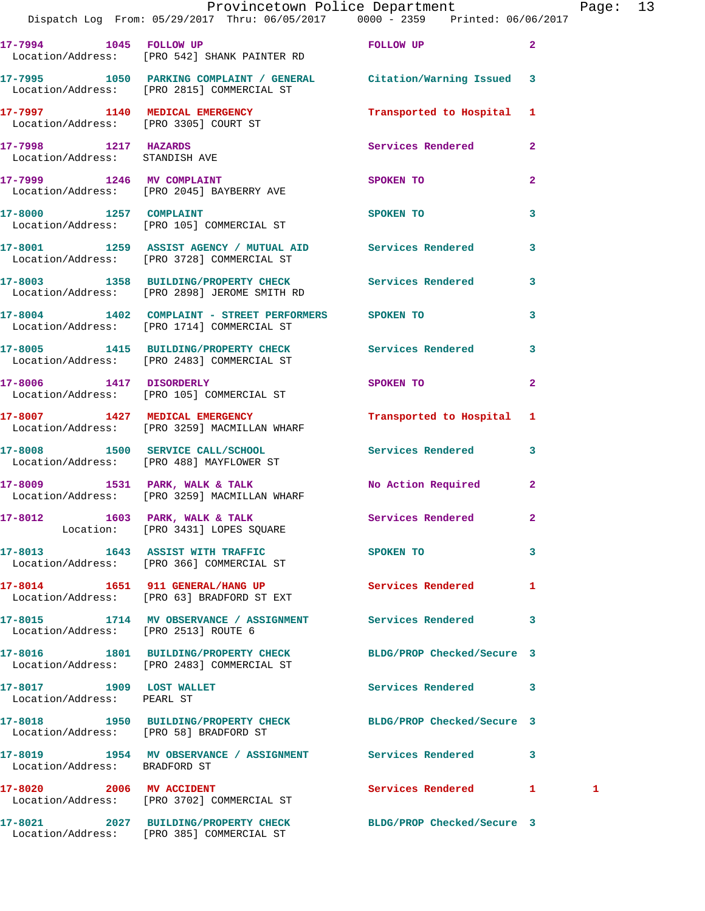|                                                        | Dispatch Log From: 05/29/2017 Thru: 06/05/2017 0000 - 2359 Printed: 06/06/2017                                   | Provincetown Police Department                                                                                |              | Page: 13 |  |
|--------------------------------------------------------|------------------------------------------------------------------------------------------------------------------|---------------------------------------------------------------------------------------------------------------|--------------|----------|--|
|                                                        | 17-7994 1045 FOLLOW UP <b>FOLLOW</b> TO FOLLOW UP<br>Location/Address: [PRO 542] SHANK PAINTER RD                |                                                                                                               | $\mathbf{2}$ |          |  |
|                                                        | 17-7995 1050 PARKING COMPLAINT / GENERAL Citation/Warning Issued 3<br>Location/Address: [PRO 2815] COMMERCIAL ST |                                                                                                               |              |          |  |
|                                                        | 17-7997 1140 MEDICAL EMERGENCY<br>Location/Address: [PRO 3305] COURT ST                                          | Transported to Hospital 1                                                                                     |              |          |  |
| 17-7998 1217 HAZARDS<br>Location/Address: STANDISH AVE |                                                                                                                  | Services Rendered 2                                                                                           |              |          |  |
|                                                        | 17-7999 1246 MV COMPLAINT<br>Location/Address: [PRO 2045] BAYBERRY AVE                                           | SPOKEN TO                                                                                                     | $\mathbf{2}$ |          |  |
|                                                        | 17-8000 1257 COMPLAINT<br>Location/Address: [PRO 105] COMMERCIAL ST                                              | <b>SPOKEN TO</b>                                                                                              | 3            |          |  |
|                                                        | 17-8001 1259 ASSIST AGENCY / MUTUAL AID Services Rendered 3<br>Location/Address: [PRO 3728] COMMERCIAL ST        |                                                                                                               |              |          |  |
|                                                        | 17-8003 1358 BUILDING/PROPERTY CHECK Services Rendered 3<br>Location/Address: [PRO 2898] JEROME SMITH RD         |                                                                                                               |              |          |  |
|                                                        | 17-8004 1402 COMPLAINT - STREET PERFORMERS SPOKEN TO<br>Location/Address: [PRO 1714] COMMERCIAL ST               |                                                                                                               | $\mathbf{3}$ |          |  |
|                                                        | 17-8005 1415 BUILDING/PROPERTY CHECK Services Rendered<br>Location/Address: [PRO 2483] COMMERCIAL ST             |                                                                                                               | 3            |          |  |
|                                                        | 17-8006 1417 DISORDERLY<br>Location/Address: [PRO 105] COMMERCIAL ST                                             | SPOKEN TO AND TO A STATE OF THE STATE OF THE STATE OF THE STATE OF THE STATE OF THE STATE OF THE STATE OF THE | $\mathbf{2}$ |          |  |
|                                                        | 17-8007 1427 MEDICAL EMERGENCY<br>Location/Address: [PRO 3259] MACMILLAN WHARF                                   | Transported to Hospital 1                                                                                     |              |          |  |
|                                                        | 17-8008 1500 SERVICE CALL/SCHOOL 5 Services Rendered 3<br>Location/Address: [PRO 488] MAYFLOWER ST               |                                                                                                               |              |          |  |
|                                                        | 17-8009 1531 PARK, WALK & TALK<br>Location/Address: [PRO 3259] MACMILLAN WHARF                                   | No Action Required 2                                                                                          |              |          |  |
|                                                        | 17-8012 1603 PARK, WALK & TALK<br>Location: [PRO 3431] LOPES SQUARE                                              | Services Rendered                                                                                             |              |          |  |
|                                                        | 17-8013 1643 ASSIST WITH TRAFFIC<br>Location/Address: [PRO 366] COMMERCIAL ST                                    | SPOKEN TO                                                                                                     | $\mathbf{3}$ |          |  |
|                                                        | 17-8014 1651 911 GENERAL/HANG UP Services Rendered 1<br>Location/Address: [PRO 63] BRADFORD ST EXT               |                                                                                                               |              |          |  |
| Location/Address: [PRO 2513] ROUTE 6                   | 17-8015 1714 MV OBSERVANCE / ASSIGNMENT Services Rendered 3                                                      |                                                                                                               |              |          |  |
|                                                        | 17-8016 1801 BUILDING/PROPERTY CHECK BLDG/PROP Checked/Secure 3<br>Location/Address: [PRO 2483] COMMERCIAL ST    |                                                                                                               |              |          |  |
| 17-8017 1909 LOST WALLET<br>Location/Address: PEARL ST |                                                                                                                  | Services Rendered 3                                                                                           |              |          |  |
|                                                        | 17-8018 1950 BUILDING/PROPERTY CHECK BLDG/PROP Checked/Secure 3<br>Location/Address: [PRO 58] BRADFORD ST        |                                                                                                               |              |          |  |
| Location/Address: BRADFORD ST                          | 17-8019 1954 MV OBSERVANCE / ASSIGNMENT Services Rendered 3                                                      |                                                                                                               |              |          |  |
| 17-8020 2006 MV ACCIDENT                               | Location/Address: [PRO 3702] COMMERCIAL ST                                                                       | Services Rendered 1                                                                                           |              | 1        |  |
|                                                        | 17-8021 2027 BUILDING/PROPERTY CHECK BLDG/PROP Checked/Secure 3                                                  |                                                                                                               |              |          |  |

Location/Address: [PRO 385] COMMERCIAL ST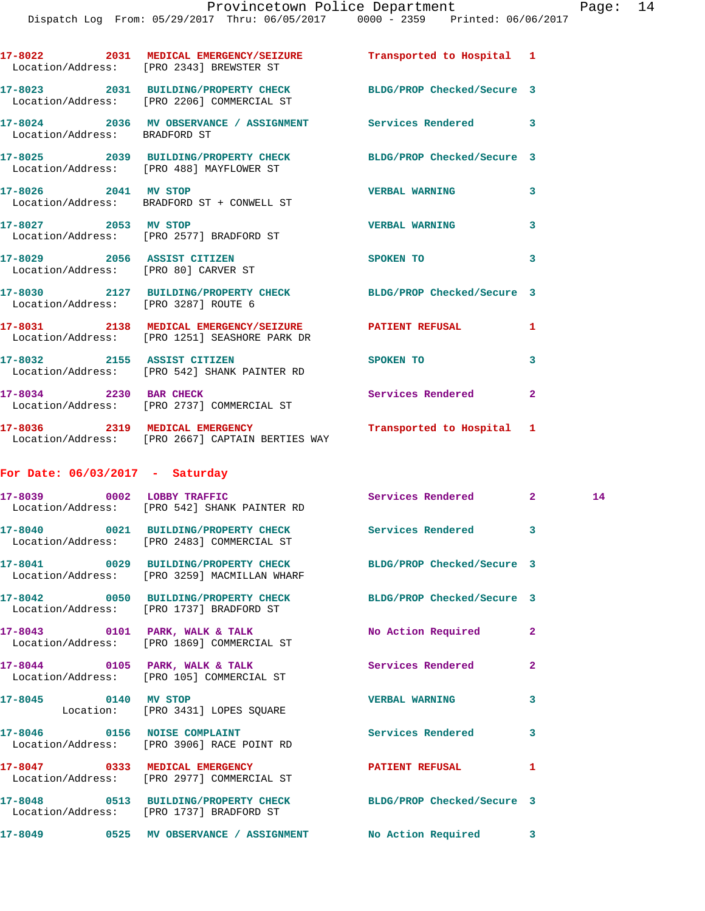|                                      | 17-8022 2031 MEDICAL EMERGENCY/SEIZURE Transported to Hospital 1<br>Location/Address: [PRO 2343] BREWSTER ST  |                            |                            |    |
|--------------------------------------|---------------------------------------------------------------------------------------------------------------|----------------------------|----------------------------|----|
|                                      | 17-8023 2031 BUILDING/PROPERTY CHECK BLDG/PROP Checked/Secure 3<br>Location/Address: [PRO 2206] COMMERCIAL ST |                            |                            |    |
| Location/Address: BRADFORD ST        | 17-8024 2036 MV OBSERVANCE / ASSIGNMENT Services Rendered 3                                                   |                            |                            |    |
|                                      | 17-8025 2039 BUILDING/PROPERTY CHECK BLDG/PROP Checked/Secure 3<br>Location/Address: [PRO 488] MAYFLOWER ST   |                            |                            |    |
| 17-8026 2041 MV STOP                 | Location/Address: BRADFORD ST + CONWELL ST                                                                    | <b>VERBAL WARNING</b>      | 3                          |    |
| 17-8027 2053 MV STOP                 | Location/Address: [PRO 2577] BRADFORD ST                                                                      | <b>VERBAL WARNING</b>      | 3                          |    |
|                                      | 17-8029 2056 ASSIST CITIZEN<br>Location/Address: [PRO 80] CARVER ST                                           | SPOKEN TO                  | $\overline{\phantom{a}}$ 3 |    |
| Location/Address: [PRO 3287] ROUTE 6 | 17-8030 2127 BUILDING/PROPERTY CHECK BLDG/PROP Checked/Secure 3                                               |                            |                            |    |
|                                      | 17-8031 2138 MEDICAL EMERGENCY/SEIZURE PATIENT REFUSAL<br>Location/Address: [PRO 1251] SEASHORE PARK DR       |                            | 1                          |    |
|                                      | 17-8032 2155 ASSIST CITIZEN<br>Location/Address: [PRO 542] SHANK PAINTER RD                                   | SPOKEN TO                  | 3                          |    |
| 17-8034 2230 BAR CHECK               | Location/Address: [PRO 2737] COMMERCIAL ST                                                                    | Services Rendered          | $\mathbf{2}$               |    |
|                                      | 17-8036 2319 MEDICAL EMERGENCY<br>Location/Address: [PRO 2667] CAPTAIN BERTIES WAY                            | Transported to Hospital 1  |                            |    |
| For Date: $06/03/2017$ - Saturday    |                                                                                                               |                            |                            |    |
|                                      | 17-8039 0002 LOBBY TRAFFIC<br>Location/Address: [PRO 542] SHANK PAINTER RD                                    | Services Rendered 2        |                            | 14 |
|                                      | 17-8040 0021 BUILDING/PROPERTY CHECK Services Rendered<br>Location/Address: [PRO 2483] COMMERCIAL ST          |                            | 3                          |    |
|                                      | 17-8041 0029 BUILDING/PROPERTY CHECK<br>Location/Address: [PRO 3259] MACMILLAN WHARF                          | BLDG/PROP Checked/Secure 3 |                            |    |
|                                      | 17-8042 0050 BUILDING/PROPERTY CHECK BLDG/PROP Checked/Secure 3<br>Location/Address: [PRO 1737] BRADFORD ST   |                            |                            |    |
|                                      | 17-8043 0101 PARK, WALK & TALK<br>Location/Address: [PRO 1869] COMMERCIAL ST                                  | No Action Required         | 2                          |    |
|                                      | $17-8044$ 0105 PARK, WALK & TALK<br>Location/Address: [PRO 105] COMMERCIAL ST                                 | Services Rendered          | $\mathbf{2}$               |    |
| 17-8045 0140 MV STOP                 | Location: [PRO 3431] LOPES SQUARE                                                                             | <b>VERBAL WARNING</b>      | 3                          |    |
| 17-8046 0156 NOISE COMPLAINT         | Location/Address: [PRO 3906] RACE POINT RD                                                                    | Services Rendered          | 3                          |    |
|                                      | 17-8047 0333 MEDICAL EMERGENCY<br>Location/Address: [PRO 2977] COMMERCIAL ST                                  | <b>PATIENT REFUSAL</b>     | 1                          |    |
|                                      | 17-8048 0513 BUILDING/PROPERTY CHECK<br>Location/Address: [PRO 1737] BRADFORD ST                              | BLDG/PROP Checked/Secure 3 |                            |    |
|                                      | 17-8049               0525    MV OBSERVANCE  /  ASSIGNMENT               No  Action  Required               3 |                            |                            |    |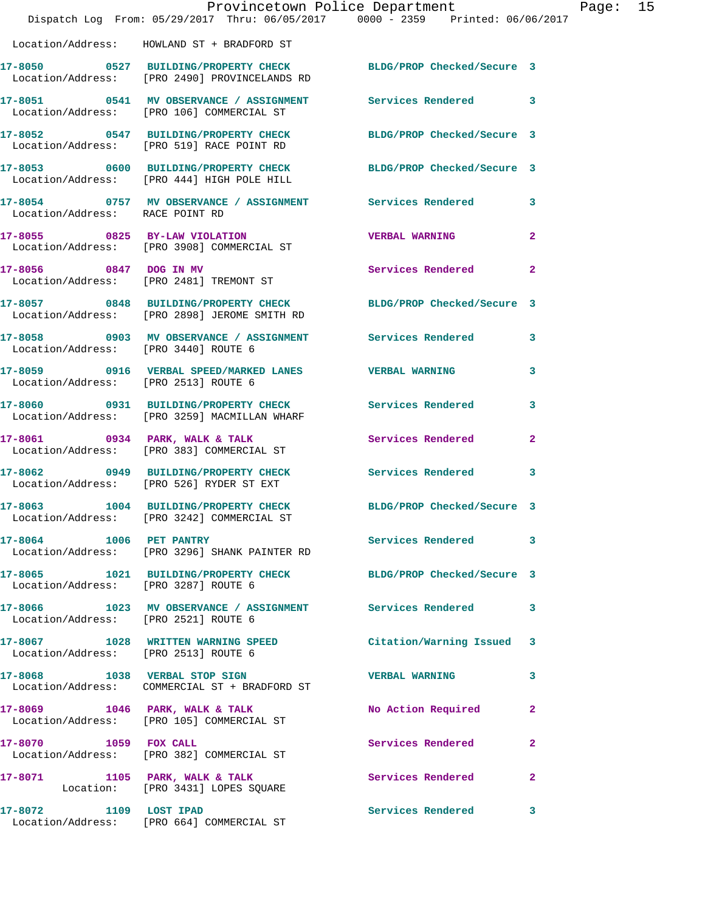|                                      | Dispatch Log From: 05/29/2017 Thru: 06/05/2017 0000 - 2359 Printed: 06/06/2017                                   | Provincetown Police Department | Page: 15       |
|--------------------------------------|------------------------------------------------------------------------------------------------------------------|--------------------------------|----------------|
|                                      | Location/Address: HOWLAND ST + BRADFORD ST                                                                       |                                |                |
|                                      | 17-8050 0527 BUILDING/PROPERTY CHECK BLDG/PROP Checked/Secure 3<br>Location/Address: [PRO 2490] PROVINCELANDS RD |                                |                |
|                                      | 17-8051 0541 MV OBSERVANCE / ASSIGNMENT Services Rendered 3<br>Location/Address: [PRO 106] COMMERCIAL ST         |                                |                |
|                                      | 17-8052 0547 BUILDING/PROPERTY CHECK BLDG/PROP Checked/Secure 3<br>Location/Address: [PRO 519] RACE POINT RD     |                                |                |
|                                      | 17-8053 0600 BUILDING/PROPERTY CHECK BLDG/PROP Checked/Secure 3<br>Location/Address: [PRO 444] HIGH POLE HILL    |                                |                |
| Location/Address: RACE POINT RD      | 17-8054 0757 MV OBSERVANCE / ASSIGNMENT Services Rendered 3                                                      |                                |                |
|                                      | 17-8055 0825 BY-LAW VIOLATION<br>Location/Address: [PRO 3908] COMMERCIAL ST                                      | <b>VERBAL WARNING</b>          | $\mathbf{2}$   |
|                                      | 17-8056 0847 DOG IN MV<br>Location/Address: [PRO 2481] TREMONT ST                                                | Services Rendered              | $\mathbf{2}$   |
|                                      | 17-8057 0848 BUILDING/PROPERTY CHECK BLDG/PROP Checked/Secure 3<br>Location/Address: [PRO 2898] JEROME SMITH RD  |                                |                |
| Location/Address: [PRO 3440] ROUTE 6 | 17-8058 0903 MV OBSERVANCE / ASSIGNMENT Services Rendered 3                                                      |                                |                |
| Location/Address: [PRO 2513] ROUTE 6 | 17-8059 0916 VERBAL SPEED/MARKED LANES VERBAL WARNING                                                            |                                | $\mathbf{3}$   |
|                                      | 17-8060 0931 BUILDING/PROPERTY CHECK Services Rendered<br>Location/Address: [PRO 3259] MACMILLAN WHARF           |                                | 3              |
|                                      | 17-8061 0934 PARK, WALK & TALK<br>Location/Address: [PRO 383] COMMERCIAL ST                                      | Services Rendered              | $\overline{2}$ |
|                                      | 17-8062 0949 BUILDING/PROPERTY CHECK Services Rendered<br>Location/Address: [PRO 526] RYDER ST EXT               |                                | 3              |
|                                      | 17-8063 1004 BUILDING/PROPERTY CHECK BLDG/PROP Checked/Secure 3<br>Location/Address: [PRO 3242] COMMERCIAL ST    |                                |                |
| 17-8064 1006 PET PANTRY              | Location/Address: [PRO 3296] SHANK PAINTER RD                                                                    | Services Rendered 3            |                |
| Location/Address: [PRO 3287] ROUTE 6 | 17-8065 1021 BUILDING/PROPERTY CHECK BLDG/PROP Checked/Secure 3                                                  |                                |                |
| Location/Address: [PRO 2521] ROUTE 6 | 17-8066 1023 MV OBSERVANCE / ASSIGNMENT Services Rendered 3                                                      |                                |                |
| Location/Address: [PRO 2513] ROUTE 6 | 17-8067 1028 WRITTEN WARNING SPEED                                                                               | Citation/Warning Issued 3      |                |
|                                      | 17-8068 1038 VERBAL STOP SIGN<br>Location/Address: COMMERCIAL ST + BRADFORD ST                                   | <b>VERBAL WARNING</b>          | 3              |
|                                      | $17-8069$ 1046 PARK, WALK & TALK<br>Location/Address: [PRO 105] COMMERCIAL ST                                    | No Action Required 2           |                |
|                                      | 17-8070 1059 FOX CALL<br>Location/Address: [PRO 382] COMMERCIAL ST                                               | Services Rendered              | $\mathbf{2}$   |
|                                      | 17-8071 1105 PARK, WALK & TALK<br>Location: [PRO 3431] LOPES SQUARE                                              | Services Rendered              | $\mathbf{2}$   |
| 17-8072 1109 LOST IPAD               | Location/Address: [PRO 664] COMMERCIAL ST                                                                        | Services Rendered              | 3              |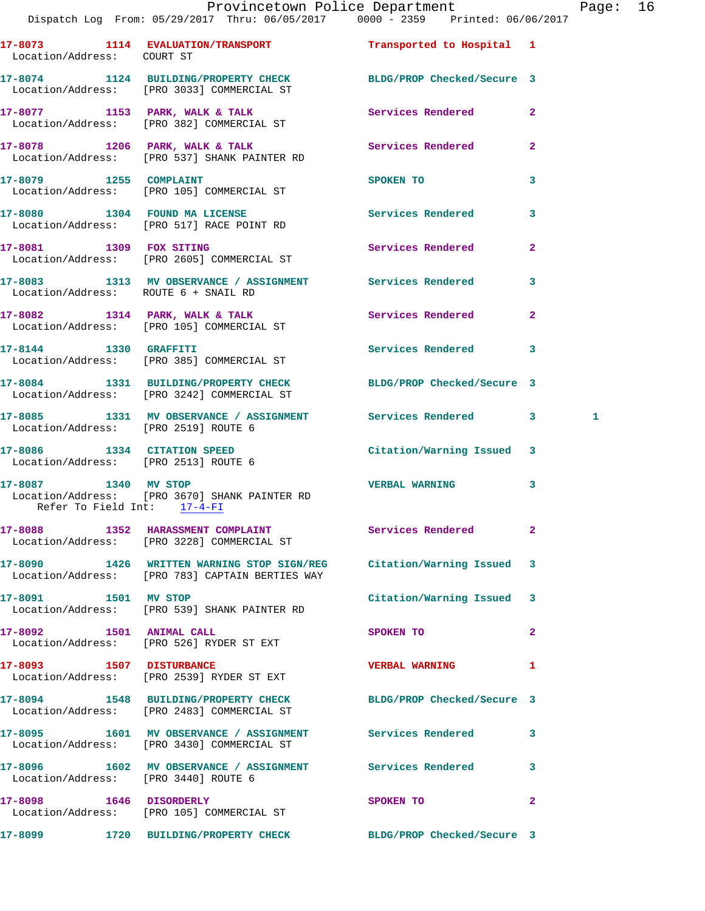## Provincetown Police Department Page: 16

|                                                                     | Dispatch_Log From: 05/29/2017 Thru: 06/05/2017 = 0000 - 2359 = Printed: 06/06/2017                                      |                           |                |
|---------------------------------------------------------------------|-------------------------------------------------------------------------------------------------------------------------|---------------------------|----------------|
| Location/Address: COURT ST                                          | 17-8073 1114 EVALUATION/TRANSPORT                                                                                       | Transported to Hospital 1 |                |
|                                                                     | 17-8074 1124 BUILDING/PROPERTY CHECK BLDG/PROP Checked/Secure 3<br>Location/Address: [PRO 3033] COMMERCIAL ST           |                           |                |
|                                                                     | 17-8077 1153 PARK, WALK & TALK<br>Location/Address: [PRO 382] COMMERCIAL ST                                             | Services Rendered         | $\overline{2}$ |
|                                                                     | 17-8078 1206 PARK, WALK & TALK Services Rendered<br>Location/Address: [PRO 537] SHANK PAINTER RD                        |                           | $\overline{2}$ |
| 17-8079 1255 COMPLAINT                                              | Location/Address: [PRO 105] COMMERCIAL ST                                                                               | SPOKEN TO                 | 3              |
|                                                                     | 17-8080 1304 FOUND MA LICENSE<br>Location/Address: [PRO 517] RACE POINT RD                                              | Services Rendered         | 3              |
|                                                                     | 17-8081 1309 FOX SITING<br>Location/Address: [PRO 2605] COMMERCIAL ST                                                   | <b>Services Rendered</b>  | $\overline{a}$ |
| Location/Address: ROUTE 6 + SNAIL RD                                | 17-8083 1313 MV OBSERVANCE / ASSIGNMENT Services Rendered                                                               |                           | 3              |
|                                                                     | 17-8082 1314 PARK, WALK & TALK<br>Location/Address: [PRO 105] COMMERCIAL ST                                             | Services Rendered         | $\mathbf{2}$   |
|                                                                     | 17-8144 1330 GRAFFITI<br>Location/Address: [PRO 385] COMMERCIAL ST                                                      | Services Rendered         | 3              |
|                                                                     | 17-8084 1331 BUILDING/PROPERTY CHECK BLDG/PROP Checked/Secure 3<br>Location/Address: [PRO 3242] COMMERCIAL ST           |                           |                |
| Location/Address: [PRO 2519] ROUTE 6                                | 17-8085 1331 MV OBSERVANCE / ASSIGNMENT Services Rendered 3                                                             |                           | 1              |
| 17-8086 1334 CITATION SPEED<br>Location/Address: [PRO 2513] ROUTE 6 |                                                                                                                         | Citation/Warning Issued 3 |                |
| 17-8087 1340 MV STOP<br>Refer To Field Int: 17-4-FI                 | Location/Address: [PRO 3670] SHANK PAINTER RD                                                                           | <b>VERBAL WARNING</b>     | 3              |
|                                                                     | 17-8088 1352 HARASSMENT COMPLAINT<br>Location/Address: [PRO 3228] COMMERCIAL ST                                         | Services Rendered         | $\overline{2}$ |
|                                                                     | 17-8090 1426 WRITTEN WARNING STOP SIGN/REG Citation/Warning Issued 3<br>Location/Address: [PRO 783] CAPTAIN BERTIES WAY |                           |                |
| 17-8091 1501 MV STOP                                                | Location/Address: [PRO 539] SHANK PAINTER RD                                                                            | Citation/Warning Issued 3 |                |
| 17-8092 1501 ANIMAL CALL                                            | Location/Address: [PRO 526] RYDER ST EXT                                                                                | SPOKEN TO                 | $\mathbf{2}$   |
|                                                                     | 17-8093 1507 DISTURBANCE<br>Location/Address: [PRO 2539] RYDER ST EXT                                                   | <b>VERBAL WARNING</b>     | 1              |
|                                                                     | 17-8094 1548 BUILDING/PROPERTY CHECK BLDG/PROP Checked/Secure 3<br>Location/Address: [PRO 2483] COMMERCIAL ST           |                           |                |
|                                                                     | 17-8095 1601 MV OBSERVANCE / ASSIGNMENT Services Rendered<br>Location/Address: [PRO 3430] COMMERCIAL ST                 |                           | 3              |
| Location/Address: [PRO 3440] ROUTE 6                                | 17-8096 1602 MV OBSERVANCE / ASSIGNMENT Services Rendered                                                               |                           | 3              |
|                                                                     | 17-8098 1646 DISORDERLY<br>Location/Address: [PRO 105] COMMERCIAL ST                                                    | SPOKEN TO                 | 2              |
|                                                                     | 17-8099 1720 BUILDING/PROPERTY CHECK BLDG/PROP Checked/Secure 3                                                         |                           |                |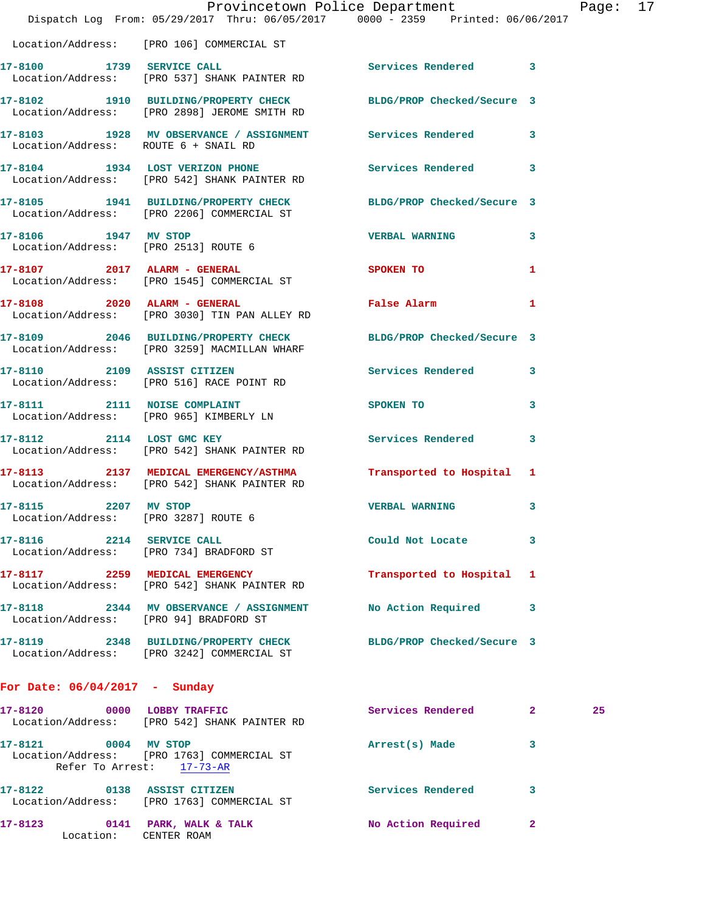|                                                              | Provincetown Police Department The Rage: 17<br>Dispatch Log From: 05/29/2017 Thru: 06/05/2017 0000 - 2359 Printed: 06/06/2017 |                            |              |    |  |
|--------------------------------------------------------------|-------------------------------------------------------------------------------------------------------------------------------|----------------------------|--------------|----|--|
|                                                              | Location/Address: [PRO 106] COMMERCIAL ST                                                                                     |                            |              |    |  |
|                                                              | 17-8100 1739 SERVICE CALL<br>Location/Address: [PRO 537] SHANK PAINTER RD                                                     | Services Rendered 3        |              |    |  |
|                                                              | 17-8102 1910 BUILDING/PROPERTY CHECK BLDG/PROP Checked/Secure 3<br>Location/Address: [PRO 2898] JEROME SMITH RD               |                            |              |    |  |
|                                                              | 17-8103 1928 MV OBSERVANCE / ASSIGNMENT Services Rendered<br>Location/Address: ROUTE 6 + SNAIL RD                             |                            | 3            |    |  |
|                                                              | 17-8104 1934 LOST VERIZON PHONE<br>Location/Address: [PRO 542] SHANK PAINTER RD                                               | Services Rendered 3        |              |    |  |
|                                                              | 17-8105 1941 BUILDING/PROPERTY CHECK BLDG/PROP Checked/Secure 3<br>Location/Address: [PRO 2206] COMMERCIAL ST                 |                            |              |    |  |
|                                                              | 17-8106 1947 MV STOP<br>Location/Address: [PRO 2513] ROUTE 6                                                                  | <b>VERBAL WARNING</b>      | 3            |    |  |
|                                                              | 17-8107 2017 ALARM - GENERAL<br>Location/Address: [PRO 1545] COMMERCIAL ST                                                    | <b>SPOKEN TO</b>           | 1            |    |  |
|                                                              | 17-8108 2020 ALARM - GENERAL<br>Location/Address: [PRO 3030] TIN PAN ALLEY RD                                                 | False Alarm                | $\mathbf{1}$ |    |  |
|                                                              | 17-8109 2046 BUILDING/PROPERTY CHECK BLDG/PROP Checked/Secure 3<br>Location/Address: [PRO 3259] MACMILLAN WHARF               |                            |              |    |  |
|                                                              | 17-8110 2109 ASSIST CITIZEN<br>Location/Address: [PRO 516] RACE POINT RD                                                      | Services Rendered          | 3            |    |  |
|                                                              | 17-8111 2111 NOISE COMPLAINT SPOKEN TO<br>Location/Address: [PRO 965] KIMBERLY LN                                             |                            | 3            |    |  |
|                                                              | 17-8112 2114 LOST GMC KEY<br>Location/Address: [PRO 542] SHANK PAINTER RD                                                     | Services Rendered          | 3            |    |  |
|                                                              | 17-8113 2137 MEDICAL EMERGENCY/ASTHMA Transported to Hospital 1<br>Location/Address: [PRO 542] SHANK PAINTER RD               |                            |              |    |  |
| 17-8115 2207 MV STOP<br>Location/Address: [PRO 3287] ROUTE 6 |                                                                                                                               | <b>VERBAL WARNING</b>      | 3            |    |  |
|                                                              | 17-8116 2214 SERVICE CALL<br>Location/Address: [PRO 734] BRADFORD ST                                                          | Could Not Locate           | 3            |    |  |
|                                                              | 17-8117 2259 MEDICAL EMERGENCY<br>Location/Address: [PRO 542] SHANK PAINTER RD                                                | Transported to Hospital 1  |              |    |  |
| Location/Address: [PRO 94] BRADFORD ST                       | 17-8118 2344 MV OBSERVANCE / ASSIGNMENT                                                                                       | No Action Required         | 3            |    |  |
|                                                              | 17-8119 2348 BUILDING/PROPERTY CHECK<br>Location/Address: [PRO 3242] COMMERCIAL ST                                            | BLDG/PROP Checked/Secure 3 |              |    |  |
| For Date: $06/04/2017 -$ Sunday                              |                                                                                                                               |                            |              |    |  |
|                                                              | 17-8120 0000 LOBBY TRAFFIC<br>Location/Address: [PRO 542] SHANK PAINTER RD                                                    | Services Rendered 2        |              | 25 |  |
| 17-8121 0004 MV STOP                                         | Location/Address: [PRO 1763] COMMERCIAL ST<br>Refer To Arrest: 17-73-AR                                                       | Arrest(s) Made             | 3            |    |  |
| 17-8122 0138 ASSIST CITIZEN                                  | Location/Address: [PRO 1763] COMMERCIAL ST                                                                                    | Services Rendered          | 3            |    |  |

**17-8123 0141 PARK, WALK & TALK No Action Required 2**  Location: CENTER ROAM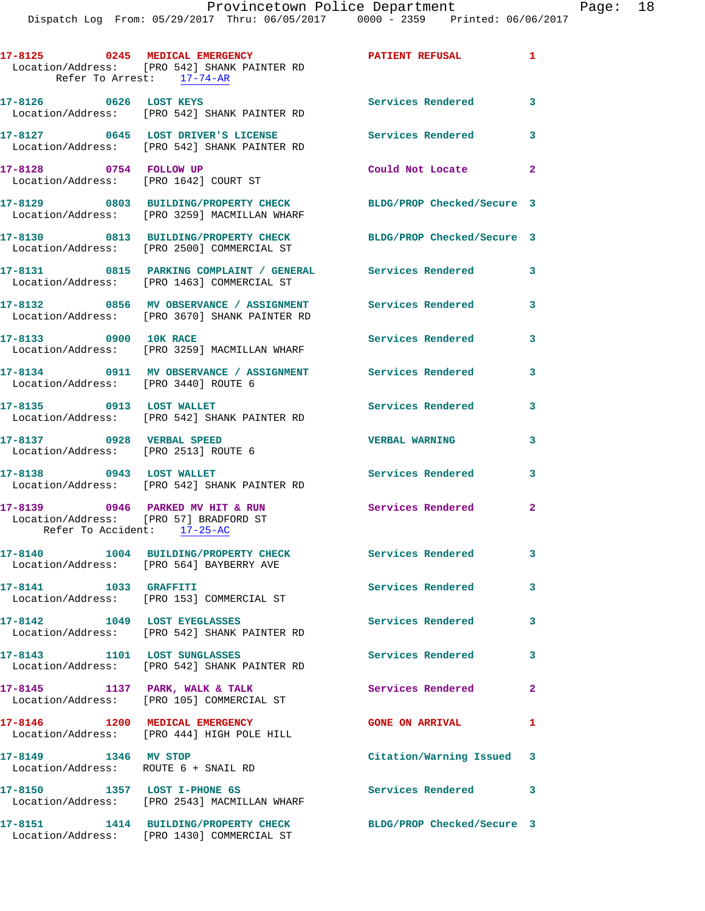| Refer To Arrest: 17-74-AR                                             | 17-8125 0245 MEDICAL EMERGENCY<br>Location/Address: [PRO 542] SHANK PAINTER RD                             | $\mathbf{1}$<br><b>PATIENT REFUSAL</b> |              |
|-----------------------------------------------------------------------|------------------------------------------------------------------------------------------------------------|----------------------------------------|--------------|
| 17-8126 0626 LOST KEYS                                                | Location/Address: [PRO 542] SHANK PAINTER RD                                                               | Services Rendered 3                    |              |
|                                                                       | 17-8127 0645 LOST DRIVER'S LICENSE<br>Location/Address: [PRO 542] SHANK PAINTER RD                         | <b>Services Rendered</b>               | 3            |
| 17-8128 0754 FOLLOW UP                                                | Location/Address: [PRO 1642] COURT ST                                                                      | Could Not Locate 2                     |              |
|                                                                       | 17-8129 0803 BUILDING/PROPERTY CHECK<br>Location/Address: [PRO 3259] MACMILLAN WHARF                       | BLDG/PROP Checked/Secure 3             |              |
|                                                                       | 17-8130 0813 BUILDING/PROPERTY CHECK<br>Location/Address: [PRO 2500] COMMERCIAL ST                         | BLDG/PROP Checked/Secure 3             |              |
|                                                                       | 17-8131 0815 PARKING COMPLAINT / GENERAL Services Rendered 3<br>Location/Address: [PRO 1463] COMMERCIAL ST |                                        |              |
|                                                                       | 17-8132 0856 MV OBSERVANCE / ASSIGNMENT Services Rendered<br>Location/Address: [PRO 3670] SHANK PAINTER RD |                                        | 3            |
| 17-8133 0900 10K RACE                                                 | Location/Address: [PRO 3259] MACMILLAN WHARF                                                               | Services Rendered                      | 3            |
| Location/Address: [PRO 3440] ROUTE 6                                  | 17-8134 0911 MV OBSERVANCE / ASSIGNMENT Services Rendered                                                  |                                        | 3            |
| 17-8135 0913 LOST WALLET                                              | Location/Address: [PRO 542] SHANK PAINTER RD                                                               | <b>Services Rendered</b>               | 3            |
| 17-8137 0928 VERBAL SPEED<br>Location/Address: [PRO 2513] ROUTE 6     |                                                                                                            | <b>VERBAL WARNING</b>                  | 3            |
| 17-8138 0943 LOST WALLET                                              | Location/Address: [PRO 542] SHANK PAINTER RD                                                               | <b>Services Rendered</b>               | 3            |
| Location/Address: [PRO 57] BRADFORD ST<br>Refer To Accident: 17-25-AC | 17-8139 0946 PARKED MV HIT & RUN                                                                           | <b>Services Rendered</b> 2             |              |
|                                                                       | 17-8140 1004 BUILDING/PROPERTY CHECK Services Rendered<br>Location/Address: [PRO 564] BAYBERRY AVE         |                                        |              |
| 17-8141 1033 GRAFFITI                                                 | Location/Address: [PRO 153] COMMERCIAL ST                                                                  | Services Rendered                      | $\mathbf{3}$ |
| 17-8142 1049 LOST EYEGLASSES                                          | Location/Address: [PRO 542] SHANK PAINTER RD                                                               | Services Rendered                      | 3            |
| 17-8143 1101 LOST SUNGLASSES                                          | Location/Address: [PRO 542] SHANK PAINTER RD                                                               | <b>Services Rendered</b>               | 3            |
| $17-8145$ 1137 PARK, WALK & TALK                                      | Location/Address: [PRO 105] COMMERCIAL ST                                                                  | Services Rendered                      | $\mathbf{2}$ |
|                                                                       | 17-8146 1200 MEDICAL EMERGENCY<br>Location/Address: [PRO 444] HIGH POLE HILL                               | <b>GONE ON ARRIVAL</b>                 | 1            |
| 17-8149 1346 MV STOP<br>Location/Address: ROUTE 6 + SNAIL RD          |                                                                                                            | Citation/Warning Issued 3              |              |
| 17-8150 1357 LOST I-PHONE 6S                                          | Location/Address: [PRO 2543] MACMILLAN WHARF                                                               | <b>Services Rendered</b>               | 3            |
|                                                                       | 17-8151 1414 BUILDING/PROPERTY CHECK<br>Location/Address: [PRO 1430] COMMERCIAL ST                         | BLDG/PROP Checked/Secure 3             |              |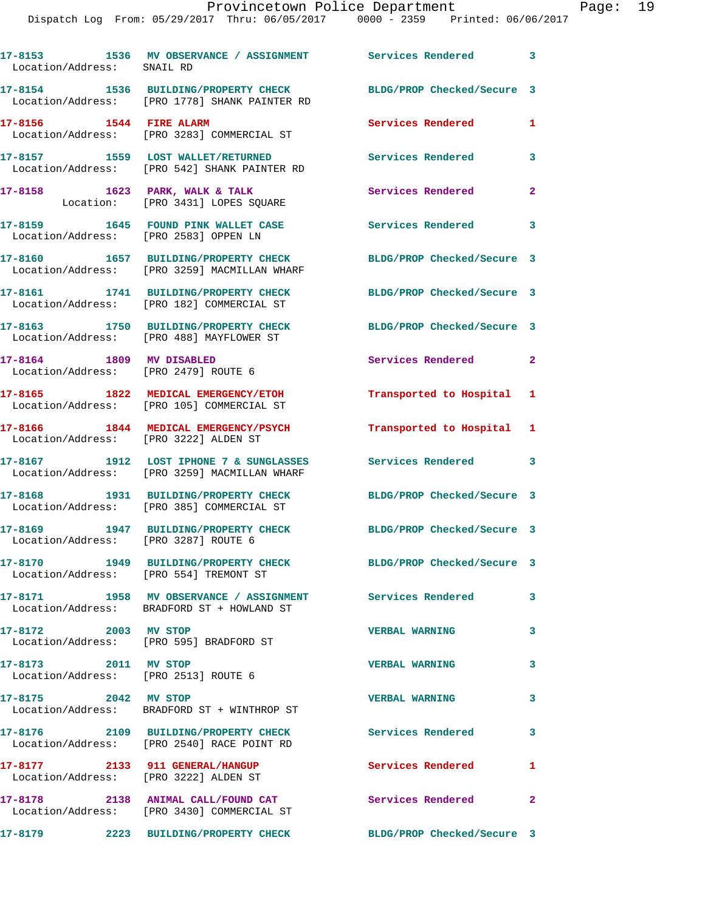| Location/Address: SNAIL RD                                       | 17-8153 1536 MV OBSERVANCE / ASSIGNMENT Services Rendered                                               |                            | $\mathbf{3}$ |
|------------------------------------------------------------------|---------------------------------------------------------------------------------------------------------|----------------------------|--------------|
|                                                                  | 17-8154 1536 BUILDING/PROPERTY CHECK<br>Location/Address: [PRO 1778] SHANK PAINTER RD                   | BLDG/PROP Checked/Secure 3 |              |
| 17-8156 1544 FIRE ALARM                                          | Location/Address: [PRO 3283] COMMERCIAL ST                                                              | <b>Services Rendered</b>   | 1            |
|                                                                  | 17-8157 1559 LOST WALLET/RETURNED<br>Location/Address: [PRO 542] SHANK PAINTER RD                       | Services Rendered          | 3            |
| $17-8158$ 1623 PARK, WALK & TALK                                 | Location: [PRO 3431] LOPES SQUARE                                                                       | Services Rendered          | $\mathbf{2}$ |
| Location/Address: [PRO 2583] OPPEN LN                            | 17-8159 1645 FOUND PINK WALLET CASE                                                                     | <b>Services Rendered</b>   | 3            |
|                                                                  | 17-8160 1657 BUILDING/PROPERTY CHECK<br>Location/Address: [PRO 3259] MACMILLAN WHARF                    | BLDG/PROP Checked/Secure 3 |              |
|                                                                  | 17-8161 1741 BUILDING/PROPERTY CHECK<br>Location/Address: [PRO 182] COMMERCIAL ST                       | BLDG/PROP Checked/Secure 3 |              |
|                                                                  | 17-8163 1750 BUILDING/PROPERTY CHECK<br>Location/Address: [PRO 488] MAYFLOWER ST                        | BLDG/PROP Checked/Secure 3 |              |
| 17-8164 1809 MV DISABLED<br>Location/Address: [PRO 2479] ROUTE 6 |                                                                                                         | Services Rendered          | $\mathbf{2}$ |
|                                                                  | 17-8165 1822 MEDICAL EMERGENCY/ETOH<br>Location/Address: [PRO 105] COMMERCIAL ST                        | Transported to Hospital    | 1            |
| Location/Address: [PRO 3222] ALDEN ST                            | 17-8166 1844 MEDICAL EMERGENCY/PSYCH                                                                    | Transported to Hospital    | 1            |
|                                                                  | 17-8167 1912 LOST IPHONE 7 & SUNGLASSES<br>Location/Address: [PRO 3259] MACMILLAN WHARF                 | Services Rendered          | 3            |
|                                                                  | 17-8168 1931 BUILDING/PROPERTY CHECK<br>Location/Address: [PRO 385] COMMERCIAL ST                       | BLDG/PROP Checked/Secure 3 |              |
| Location/Address: [PRO 3287] ROUTE 6                             | 17-8169 1947 BUILDING/PROPERTY CHECK                                                                    | BLDG/PROP Checked/Secure 3 |              |
| Location/Address: [PRO 554] TREMONT ST                           | 17-8170 1949 BUILDING/PROPERTY CHECK                                                                    | BLDG/PROP Checked/Secure 3 |              |
|                                                                  | 17-8171 1958 MV OBSERVANCE / ASSIGNMENT Services Rendered<br>Location/Address: BRADFORD ST + HOWLAND ST |                            | 3            |
| 17-8172 2003 MV STOP                                             | Location/Address: [PRO 595] BRADFORD ST                                                                 | <b>VERBAL WARNING</b>      | 3            |
| 17-8173 2011 MV STOP<br>Location/Address: [PRO 2513] ROUTE 6     |                                                                                                         | <b>VERBAL WARNING</b>      | 3            |
| 17-8175 2042 MV STOP                                             | Location/Address: BRADFORD ST + WINTHROP ST                                                             | <b>VERBAL WARNING</b>      | 3            |
|                                                                  | 17-8176 2109 BUILDING/PROPERTY CHECK Services Rendered<br>Location/Address: [PRO 2540] RACE POINT RD    |                            | 3            |
|                                                                  | 17-8177 2133 911 GENERAL/HANGUP<br>Location/Address: [PRO 3222] ALDEN ST                                | Services Rendered          | 1            |
|                                                                  | 17-8178 2138 ANIMAL CALL/FOUND CAT<br>Location/Address: [PRO 3430] COMMERCIAL ST                        | Services Rendered          | $\mathbf{2}$ |
|                                                                  | 17-8179 2223 BUILDING/PROPERTY CHECK                                                                    | BLDG/PROP Checked/Secure 3 |              |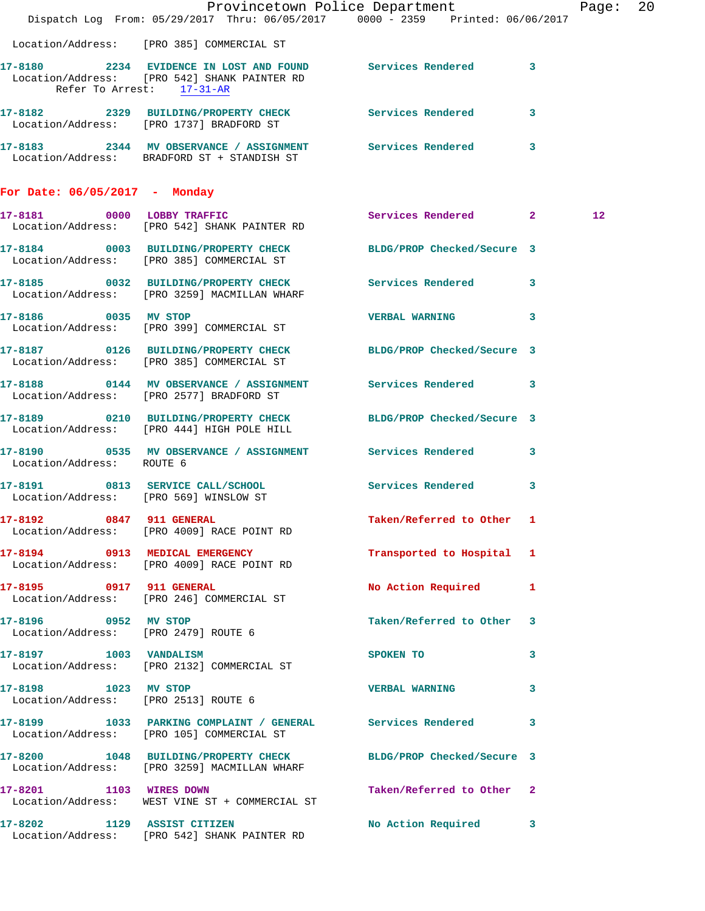|                                                              | Dispatch Log From: 05/29/2017 Thru: 06/05/2017 0000 - 2359 Printed: 06/06/2017                                                           | Provincetown Police Department The Rage: 20 |              |         |  |
|--------------------------------------------------------------|------------------------------------------------------------------------------------------------------------------------------------------|---------------------------------------------|--------------|---------|--|
|                                                              | Location/Address: [PRO 385] COMMERCIAL ST                                                                                                |                                             |              |         |  |
|                                                              | 17-8180 2234 EVIDENCE IN LOST AND FOUND Services Rendered 3<br>Location/Address: [PRO 542] SHANK PAINTER RD<br>Refer To Arrest: 17-31-AR |                                             |              |         |  |
|                                                              | 17-8182 2329 BUILDING/PROPERTY CHECK Services Rendered 3<br>Location/Address: [PRO 1737] BRADFORD ST                                     |                                             |              |         |  |
|                                                              | 17-8183 2344 MV OBSERVANCE / ASSIGNMENT Services Rendered 3<br>Location/Address: BRADFORD ST + STANDISH ST                               |                                             |              |         |  |
| For Date: 06/05/2017 - Monday                                |                                                                                                                                          |                                             |              |         |  |
|                                                              | 17-8181 0000 LOBBY TRAFFIC<br>Location/Address: [PRO 542] SHANK PAINTER RD                                                               | Services Rendered 2                         |              | $12 \,$ |  |
|                                                              | 17-8184 0003 BUILDING/PROPERTY CHECK BLDG/PROP Checked/Secure 3<br>Location/Address: [PRO 385] COMMERCIAL ST                             |                                             |              |         |  |
|                                                              | 17-8185 0032 BUILDING/PROPERTY CHECK Services Rendered 3<br>Location/Address: [PRO 3259] MACMILLAN WHARF                                 |                                             |              |         |  |
| 17-8186 0035 MV STOP                                         | Location/Address: [PRO 399] COMMERCIAL ST                                                                                                | VERBAL WARNING 3                            |              |         |  |
|                                                              | 17-8187 0126 BUILDING/PROPERTY CHECK BLDG/PROP Checked/Secure 3<br>Location/Address: [PRO 385] COMMERCIAL ST                             |                                             |              |         |  |
|                                                              | 17-8188 0144 MV OBSERVANCE / ASSIGNMENT Services Rendered 3<br>Location/Address: [PRO 2577] BRADFORD ST                                  |                                             |              |         |  |
|                                                              | 17-8189 0210 BUILDING/PROPERTY CHECK BLDG/PROP Checked/Secure 3<br>Location/Address: [PRO 444] HIGH POLE HILL                            |                                             |              |         |  |
| Location/Address: ROUTE 6                                    | 17-8190 0535 MV OBSERVANCE / ASSIGNMENT Services Rendered 3                                                                              |                                             |              |         |  |
| Location/Address: [PRO 569] WINSLOW ST                       | 17-8191 0813 SERVICE CALL/SCHOOL 5 Services Rendered 3                                                                                   |                                             |              |         |  |
| 17-8192 0847 911 GENERAL                                     | Location/Address: [PRO 4009] RACE POINT RD                                                                                               | Taken/Referred to Other 1                   |              |         |  |
|                                                              | 17-8194 0913 MEDICAL EMERGENCY<br>Location/Address: [PRO 4009] RACE POINT RD                                                             | Transported to Hospital 1                   |              |         |  |
|                                                              | 17-8195 0917 911 GENERAL<br>Location/Address: [PRO 246] COMMERCIAL ST                                                                    | No Action Required 1                        |              |         |  |
| 17-8196 0952 MV STOP                                         | Location/Address: [PRO 2479] ROUTE 6                                                                                                     | Taken/Referred to Other 3                   |              |         |  |
| 17-8197 1003 VANDALISM                                       | Location/Address: [PRO 2132] COMMERCIAL ST                                                                                               | SPOKEN TO                                   | $\mathbf{3}$ |         |  |
| 17-8198 1023 MV STOP<br>Location/Address: [PRO 2513] ROUTE 6 |                                                                                                                                          | <b>VERBAL WARNING</b>                       | $\mathbf{3}$ |         |  |
|                                                              | 17-8199 1033 PARKING COMPLAINT / GENERAL Services Rendered 3<br>Location/Address: [PRO 105] COMMERCIAL ST                                |                                             |              |         |  |
|                                                              | 17-8200 1048 BUILDING/PROPERTY CHECK BLDG/PROP Checked/Secure 3<br>Location/Address: [PRO 3259] MACMILLAN WHARF                          |                                             |              |         |  |
| 17-8201 1103 WIRES DOWN                                      | Location/Address: WEST VINE ST + COMMERCIAL ST                                                                                           | Taken/Referred to Other 2                   |              |         |  |
|                                                              | 17-8202 1129 ASSIST CITIZEN<br>Location/Address: [PRO 542] SHANK PAINTER RD                                                              | No Action Required 3                        |              |         |  |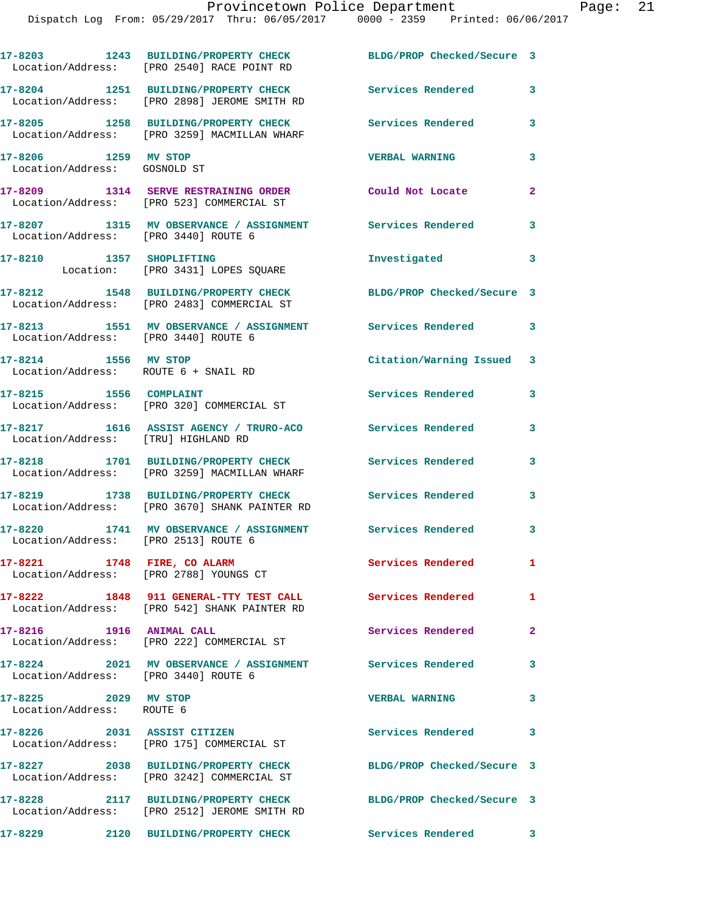|                                                              | 17-8203 1243 BUILDING/PROPERTY CHECK<br>Location/Address: [PRO 2540] RACE POINT RD    | BLDG/PROP Checked/Secure 3 |                            |
|--------------------------------------------------------------|---------------------------------------------------------------------------------------|----------------------------|----------------------------|
|                                                              | 17-8204 1251 BUILDING/PROPERTY CHECK<br>Location/Address: [PRO 2898] JEROME SMITH RD  | Services Rendered          | $\mathbf{3}$               |
|                                                              | 17-8205 1258 BUILDING/PROPERTY CHECK<br>Location/Address: [PRO 3259] MACMILLAN WHARF  | <b>Services Rendered</b>   | 3                          |
| 17-8206 1259 MV STOP<br>Location/Address: GOSNOLD ST         |                                                                                       | <b>VERBAL WARNING</b>      | 3                          |
|                                                              | 17-8209 1314 SERVE RESTRAINING ORDER<br>Location/Address: [PRO 523] COMMERCIAL ST     | Could Not Locate           | $\overline{2}$             |
| Location/Address: [PRO 3440] ROUTE 6                         | 17-8207 1315 MV OBSERVANCE / ASSIGNMENT                                               | <b>Services Rendered</b>   | 3                          |
| 17-8210 1357 SHOPLIFTING                                     | Location: [PRO 3431] LOPES SQUARE                                                     | Investigated               | 3                          |
|                                                              | 17-8212 1548 BUILDING/PROPERTY CHECK<br>Location/Address: [PRO 2483] COMMERCIAL ST    | BLDG/PROP Checked/Secure 3 |                            |
| Location/Address: [PRO 3440] ROUTE 6                         | 17-8213 1551 MV OBSERVANCE / ASSIGNMENT                                               | <b>Services Rendered</b>   | $\overline{\phantom{a}}$ 3 |
| 17-8214 1556 MV STOP<br>Location/Address: ROUTE 6 + SNAIL RD |                                                                                       | Citation/Warning Issued    | 3                          |
| 17-8215 1556 COMPLAINT                                       | Location/Address: [PRO 320] COMMERCIAL ST                                             | Services Rendered          | 3                          |
| Location/Address: [TRU] HIGHLAND RD                          | 17-8217 1616 ASSIST AGENCY / TRURO-ACO                                                | <b>Services Rendered</b>   | 3                          |
|                                                              | 17-8218 1701 BUILDING/PROPERTY CHECK<br>Location/Address: [PRO 3259] MACMILLAN WHARF  | Services Rendered          | 3                          |
|                                                              | 17-8219 1738 BUILDING/PROPERTY CHECK<br>Location/Address: [PRO 3670] SHANK PAINTER RD | <b>Services Rendered</b>   | 3                          |
| Location/Address: [PRO 2513] ROUTE 6                         | 17-8220 1741 MV OBSERVANCE / ASSIGNMENT                                               | Services Rendered          | 3                          |
| 17-8221 1748 FIRE, CO ALARM                                  | Location/Address: [PRO 2788] YOUNGS CT                                                | Services Rendered          | $\mathbf{1}$               |
| 17-8222                                                      | 1848 911 GENERAL-TTY TEST CALL<br>Location/Address: [PRO 542] SHANK PAINTER RD        | Services Rendered          | $\mathbf{1}$               |
| 17-8216 1916 ANIMAL CALL                                     | Location/Address: [PRO 222] COMMERCIAL ST                                             | Services Rendered          | $\mathbf{2}$               |
| Location/Address: [PRO 3440] ROUTE 6                         | 17-8224 2021 MV OBSERVANCE / ASSIGNMENT                                               | <b>Services Rendered</b>   | $\overline{\mathbf{3}}$    |
| 17-8225 2029 MV STOP<br>Location/Address: ROUTE 6            |                                                                                       | <b>VERBAL WARNING</b>      | $\mathbf{3}$               |
| 17-8226 2031 ASSIST CITIZEN                                  | Location/Address: [PRO 175] COMMERCIAL ST                                             | Services Rendered 3        |                            |
|                                                              | 17-8227 2038 BUILDING/PROPERTY CHECK<br>Location/Address: [PRO 3242] COMMERCIAL ST    | BLDG/PROP Checked/Secure 3 |                            |
|                                                              | 17-8228 2117 BUILDING/PROPERTY CHECK<br>Location/Address: [PRO 2512] JEROME SMITH RD  | BLDG/PROP Checked/Secure 3 |                            |
| 17-8229                                                      | 2120 BUILDING/PROPERTY CHECK                                                          | Services Rendered 3        |                            |